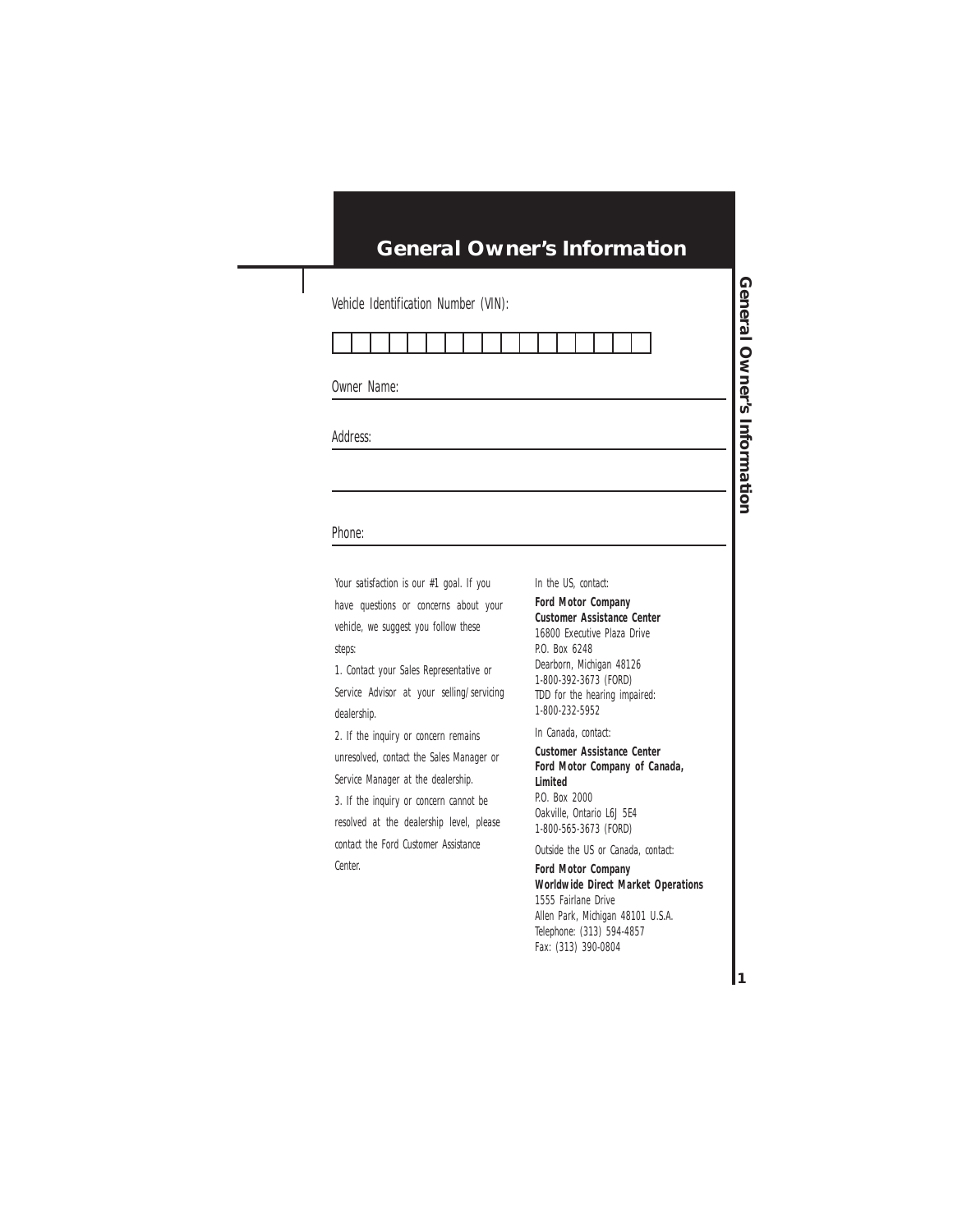### **General Owner's Information**

Vehicle Identification Number (VIN):



Owner Name:

Address:

#### Phone:

Your satisfaction is our #1 goal. If you have questions or concerns about your vehicle, we suggest you follow these steps:

1. Contact your Sales Representative or Service Advisor at your selling/servicing dealership.

2. If the inquiry or concern remains unresolved, contact the Sales Manager or Service Manager at the dealership.

3. If the inquiry or concern cannot be resolved at the dealership level, please contact the Ford Customer Assistance Center.

In the US, contact:

**Ford Motor Company Customer Assistance Center** 16800 Executive Plaza Drive P.O. Box 6248 Dearborn, Michigan 48126 1-800-392-3673 (FORD) TDD for the hearing impaired: 1-800-232-5952

In Canada, contact:

**Customer Assistance Center Ford Motor Company of Canada, Limited** P.O. Box 2000 Oakville, Ontario L6J 5E4 1-800-565-3673 (FORD)

Outside the US or Canada, contact:

**Ford Motor Company Worldwide Direct Market Operations** 1555 Fairlane Drive Allen Park, Michigan 48101 U.S.A. Telephone: (313) 594-4857 Fax: (313) 390-0804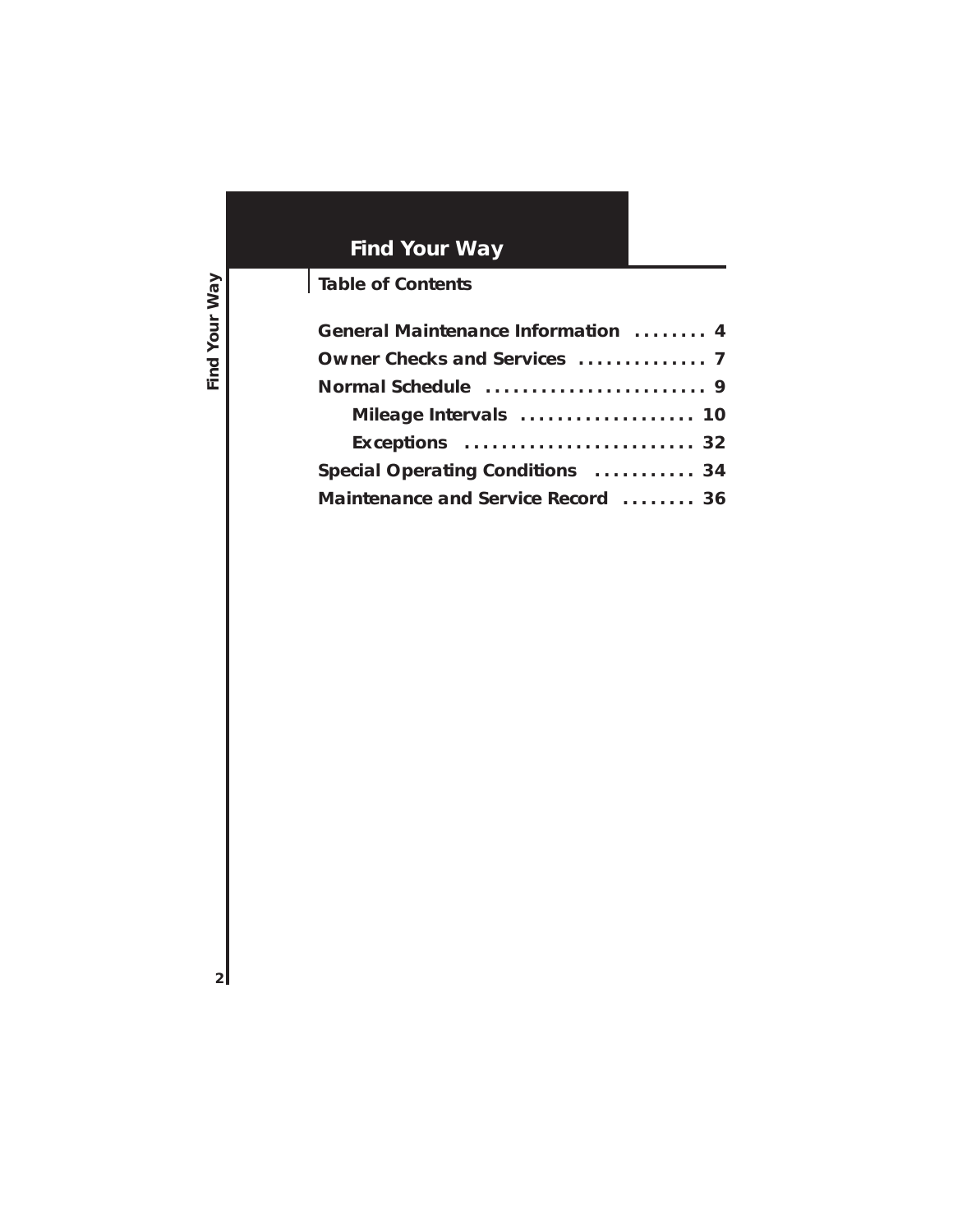# **Find Your Way**

# **Table of Contents**

| General Maintenance Information  4 |  |
|------------------------------------|--|
| Owner Checks and Services  7       |  |
|                                    |  |
| Mileage Intervals  10              |  |
| Exceptions  32                     |  |
| Special Operating Conditions  34   |  |
| Maintenance and Service Record  36 |  |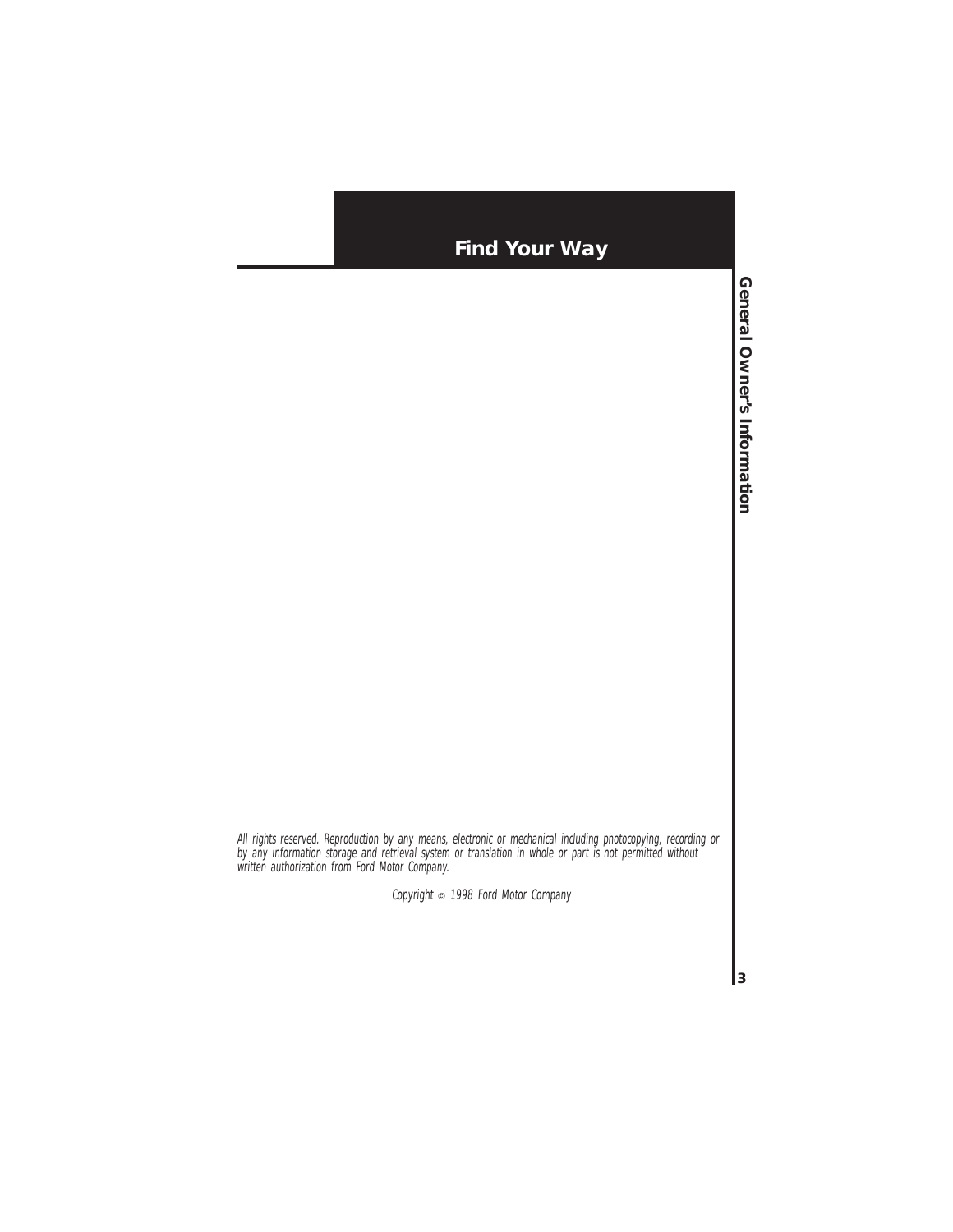## **Find Your Way**

All rights reserved. Reproduction by any means, electronic or mechanical including photocopying, recording or by any information storage and retrieval system or translation in whole or part is not permitted without written authorization from Ford Motor Company.

Copyright  $\circ$  1998 Ford Motor Company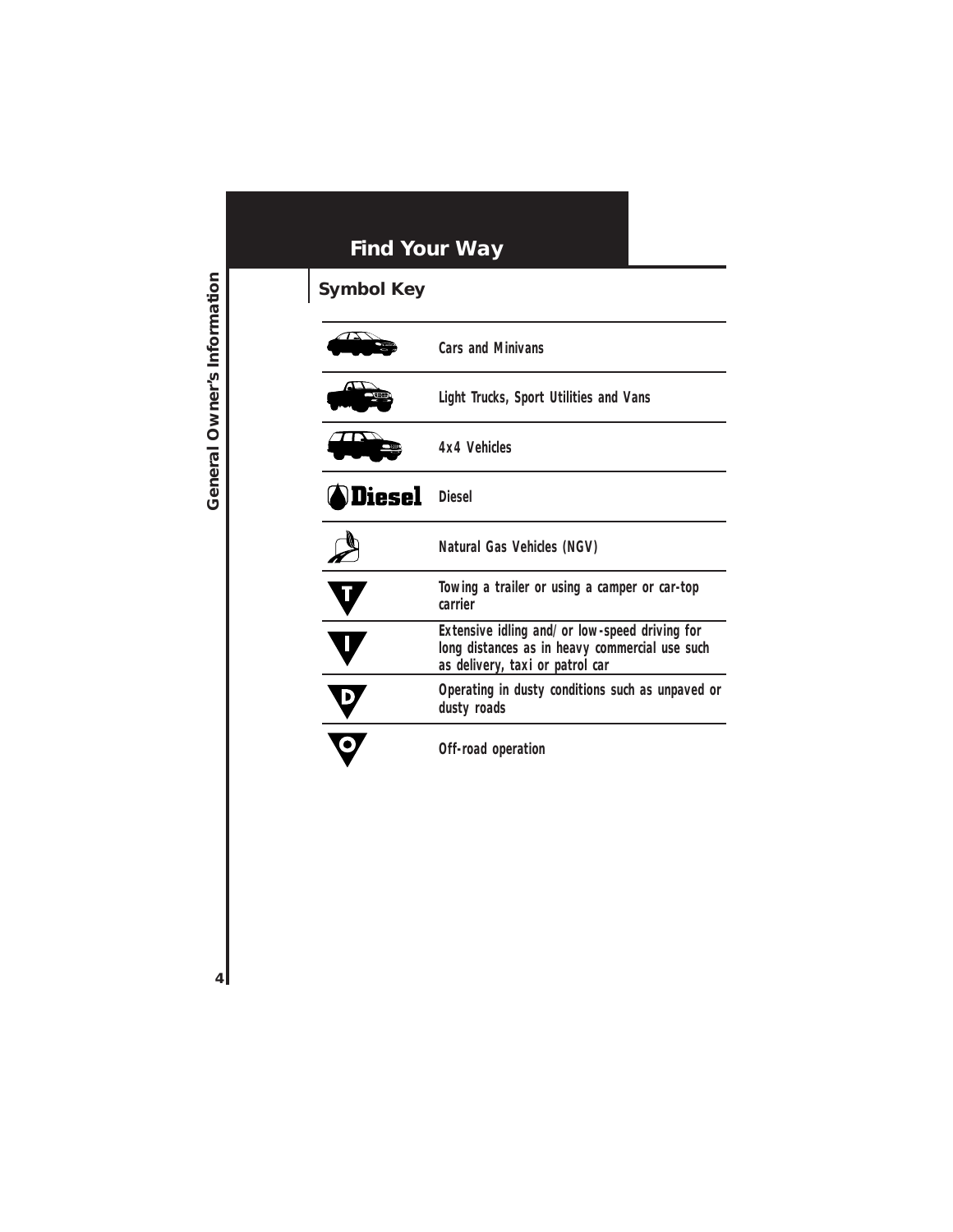# **Find Your Way**

# **Symbol Key**

|                      | <b>Cars and Minivans</b>                                                                                                           |
|----------------------|------------------------------------------------------------------------------------------------------------------------------------|
|                      | Light Trucks, Sport Utilities and Vans                                                                                             |
|                      | 4x4 Vehicles                                                                                                                       |
| <b>Diesel</b> Diesel |                                                                                                                                    |
|                      | Natural Gas Vehicles (NGV)                                                                                                         |
|                      | Towing a trailer or using a camper or car-top<br>carrier                                                                           |
|                      | Extensive idling and/or low-speed driving for<br>long distances as in heavy commercial use such<br>as delivery, taxi or patrol car |
|                      | Operating in dusty conditions such as unpaved or<br>dusty roads                                                                    |
|                      | Off-road operation                                                                                                                 |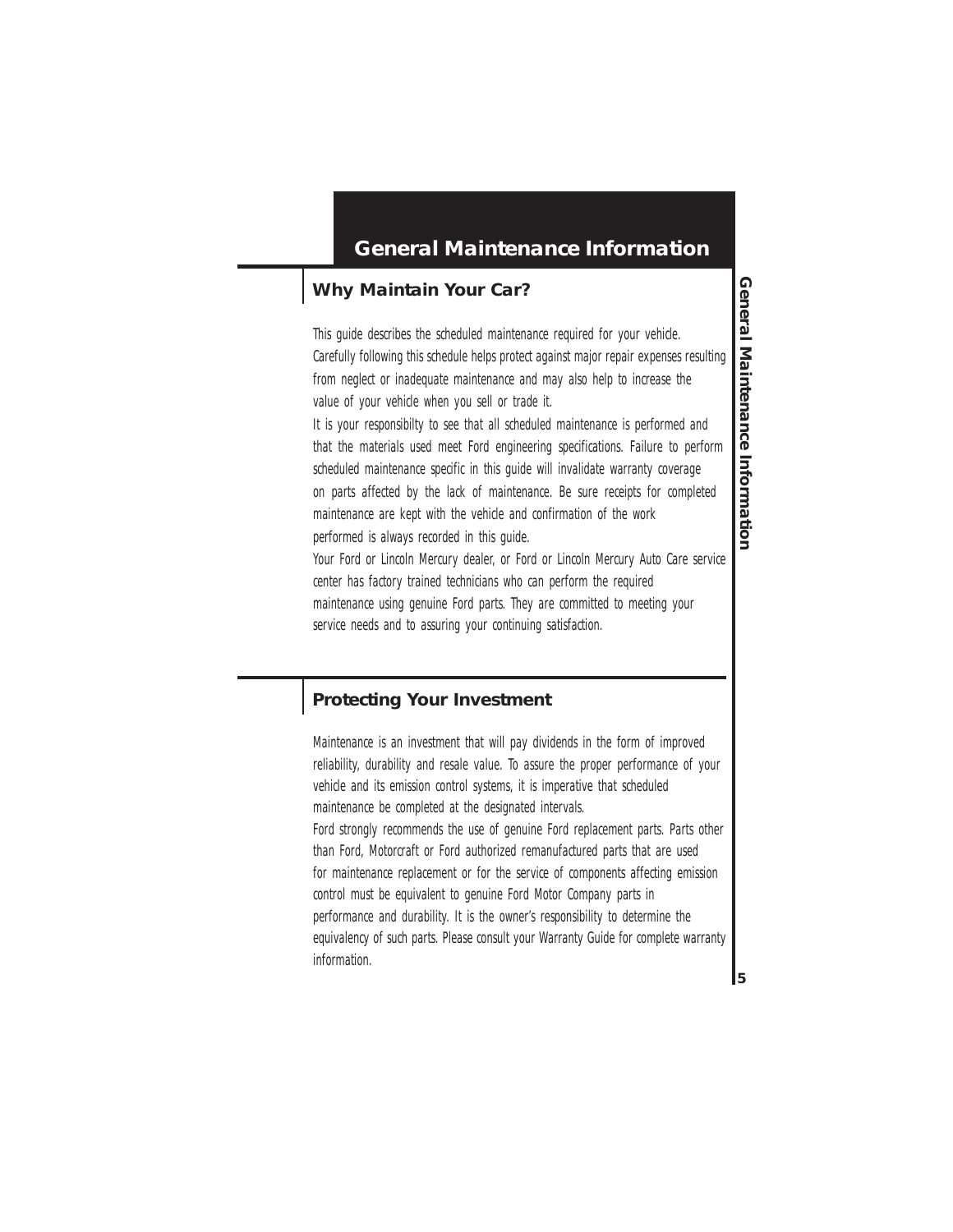### **General Maintenance Information**

### **Why Maintain Your Car?**

This guide describes the scheduled maintenance required for your vehicle. Carefully following this schedule helps protect against major repair expenses resulting from neglect or inadequate maintenance and may also help to increase the value of your vehicle when you sell or trade it.

It is your responsibilty to see that all scheduled maintenance is performed and that the materials used meet Ford engineering specifications. Failure to perform scheduled maintenance specific in this guide will invalidate warranty coverage on parts affected by the lack of maintenance. Be sure receipts for completed maintenance are kept with the vehicle and confirmation of the work performed is always recorded in this guide.

Your Ford or Lincoln Mercury dealer, or Ford or Lincoln Mercury Auto Care service center has factory trained technicians who can perform the required maintenance using genuine Ford parts. They are committed to meeting your service needs and to assuring your continuing satisfaction.

### **Protecting Your Investment**

Maintenance is an investment that will pay dividends in the form of improved reliability, durability and resale value. To assure the proper performance of your vehicle and its emission control systems, it is imperative that scheduled maintenance be completed at the designated intervals. Ford strongly recommends the use of genuine Ford replacement parts. Parts other than Ford, Motorcraft or Ford authorized remanufactured parts that are used for maintenance replacement or for the service of components affecting emission control must be equivalent to genuine Ford Motor Company parts in performance and durability. It is the owner's responsibility to determine the equivalency of such parts. Please consult your Warranty Guide for complete warranty information.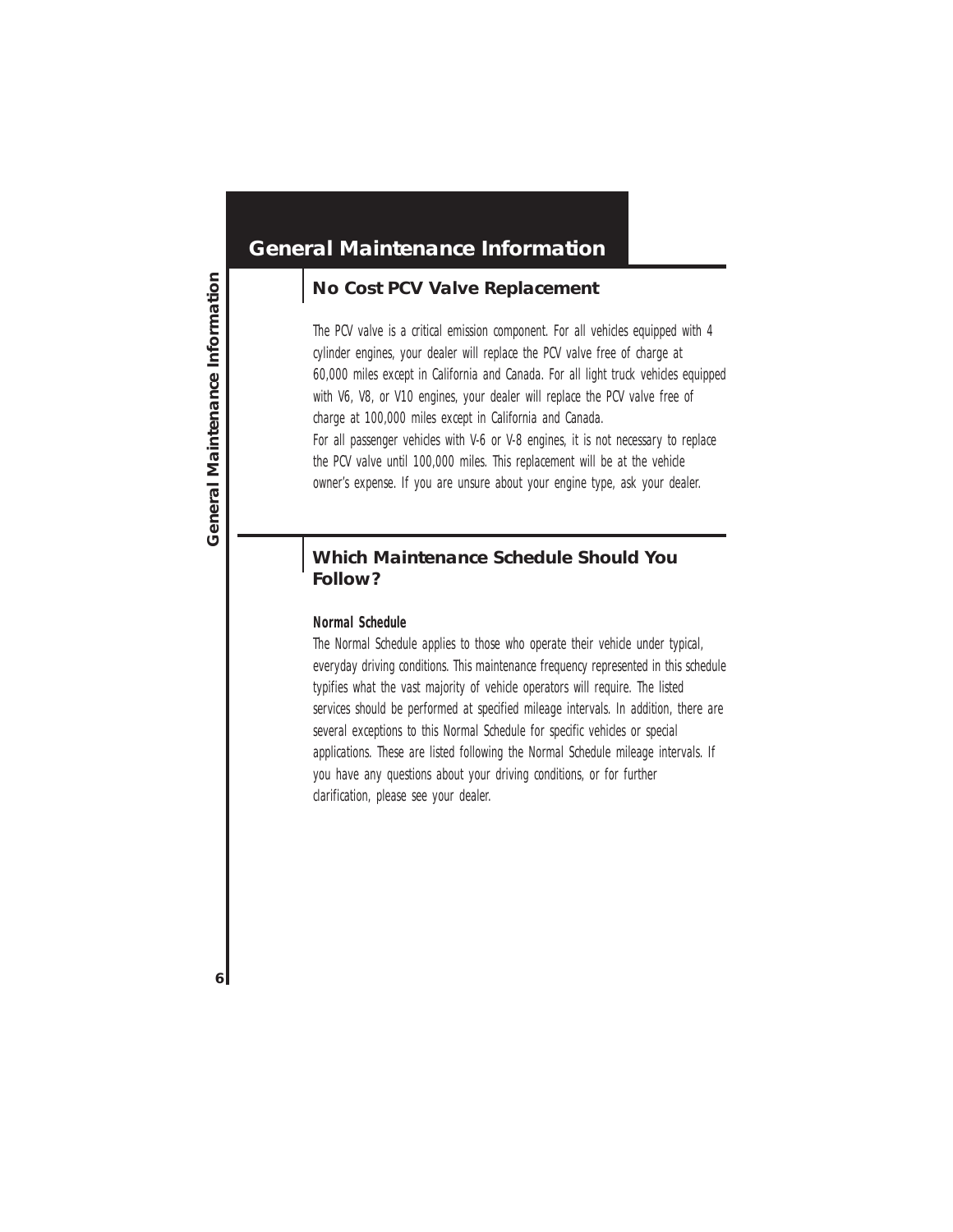### **No Cost PCV Valve Replacement**

The PCV valve is a critical emission component. For all vehicles equipped with 4 cylinder engines, your dealer will replace the PCV valve free of charge at 60,000 miles except in California and Canada. For all light truck vehicles equipped with V6, V8, or V10 engines, your dealer will replace the PCV valve free of charge at 100,000 miles except in California and Canada. For all passenger vehicles with V-6 or V-8 engines, it is not necessary to replace the PCV valve until 100,000 miles. This replacement will be at the vehicle owner's expense. If you are unsure about your engine type, ask your dealer.

### **Which Maintenance Schedule Should You Follow?**

#### **Normal Schedule**

The Normal Schedule applies to those who operate their vehicle under typical, everyday driving conditions. This maintenance frequency represented in this schedule typifies what the vast majority of vehicle operators will require. The listed services should be performed at specified mileage intervals. In addition, there are several exceptions to this Normal Schedule for specific vehicles or special applications. These are listed following the Normal Schedule mileage intervals. If you have any questions about your driving conditions, or for further clarification, please see your dealer.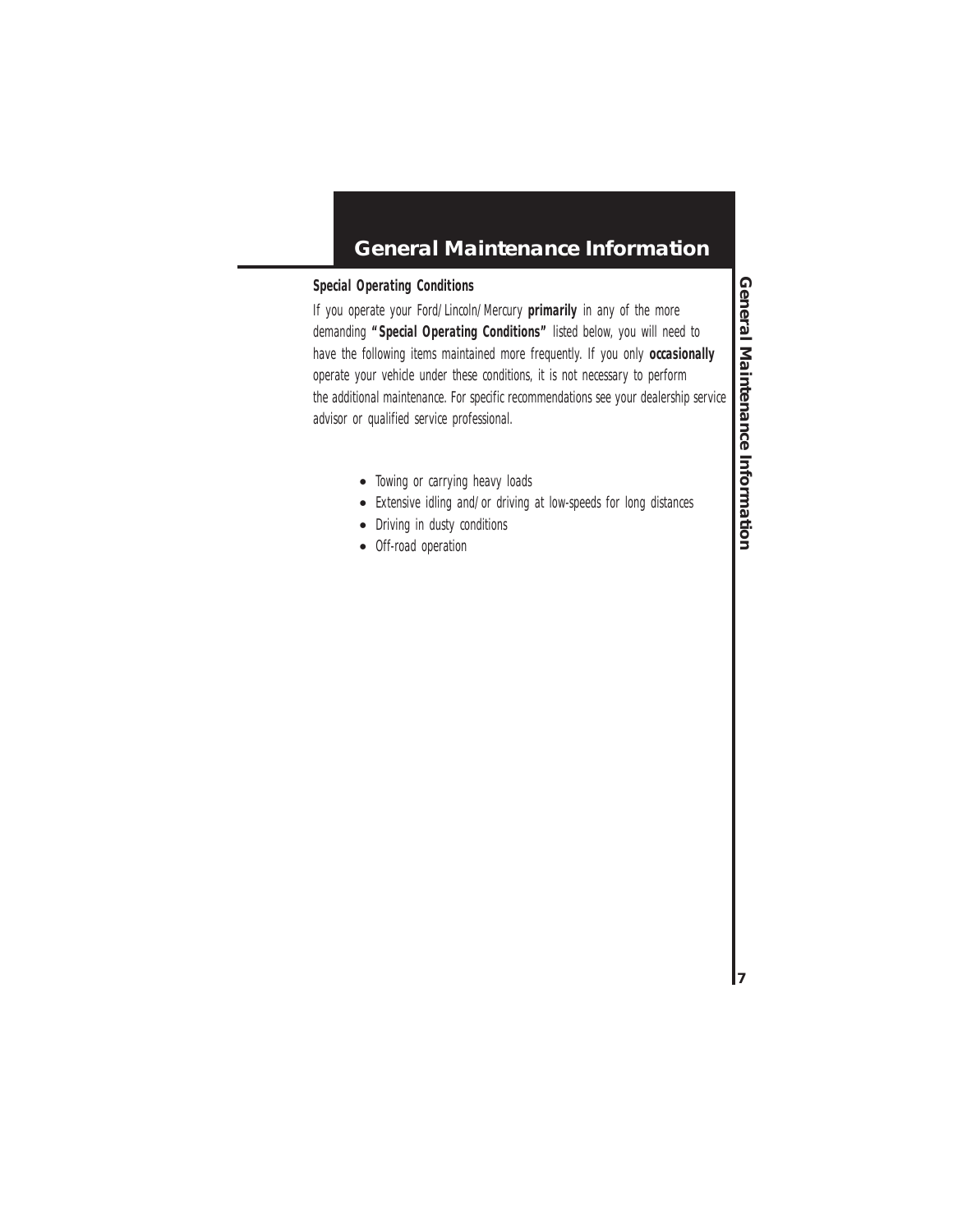### **General Maintenance Information**

#### **Special Operating Conditions**

If you operate your Ford/Lincoln/Mercury **primarily** in any of the more demanding **"Special Operating Conditions"** listed below, you will need to have the following items maintained more frequently. If you only **occasionally** operate your vehicle under these conditions, it is not necessary to perform the additional maintenance. For specific recommendations see your dealership service advisor or qualified service professional.

- Towing or carrying heavy loads
- Extensive idling and/or driving at low-speeds for long distances
- Driving in dusty conditions
- Off-road operation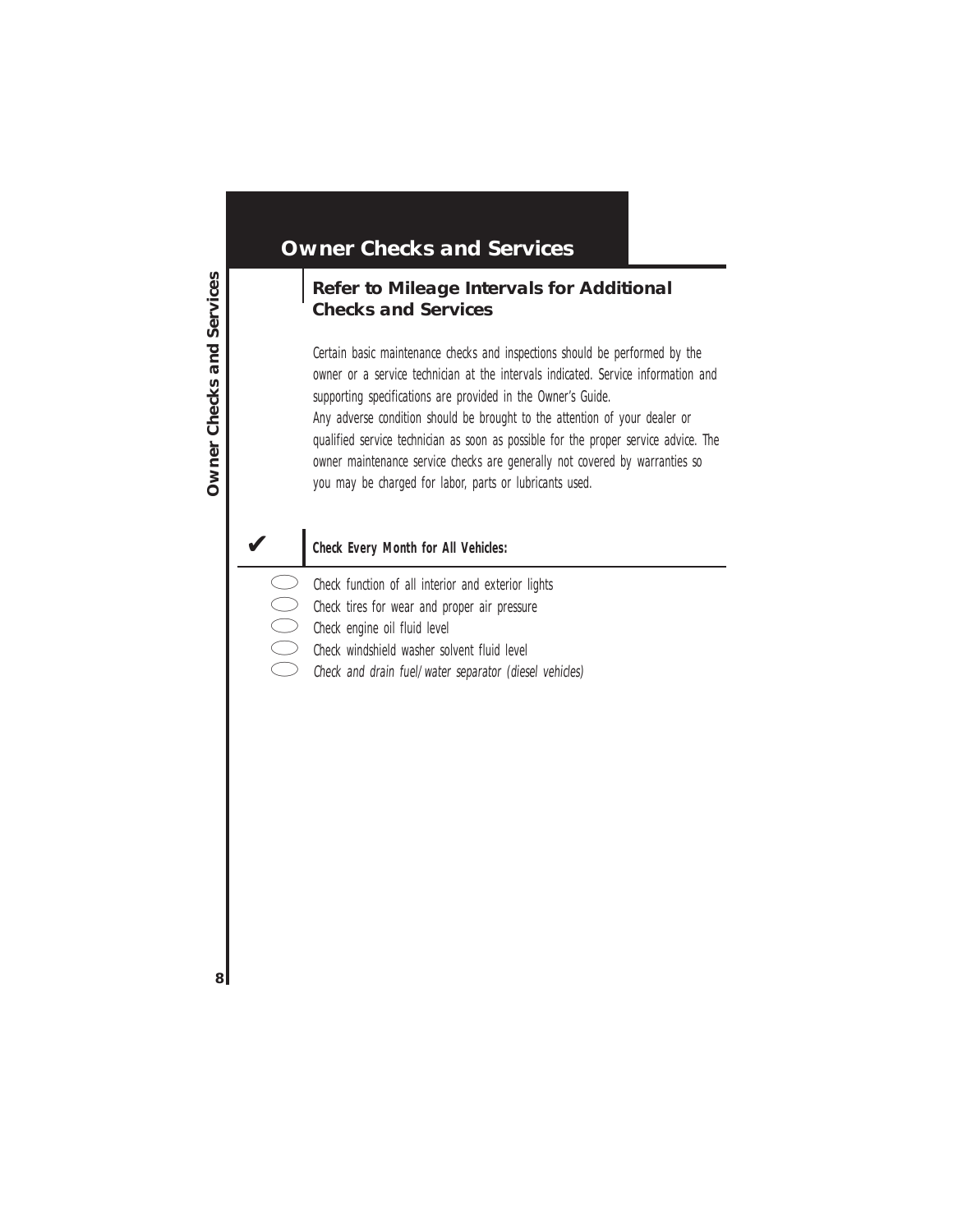### **Owner Checks and Services**

### **Refer to Mileage Intervals for Additional Checks and Services**

Certain basic maintenance checks and inspections should be performed by the owner or a service technician at the intervals indicated. Service information and supporting specifications are provided in the Owner's Guide. Any adverse condition should be brought to the attention of your dealer or qualified service technician as soon as possible for the proper service advice. The owner maintenance service checks are generally not covered by warranties so you may be charged for labor, parts or lubricants used.

#### ✔ **Check Every Month for All Vehicles:**

- Check function of all interior and exterior lights
- Check tires for wear and proper air pressure
- Check engine oil fluid level
- Check windshield washer solvent fluid level
- Check and drain fuel/water separator (diesel vehicles)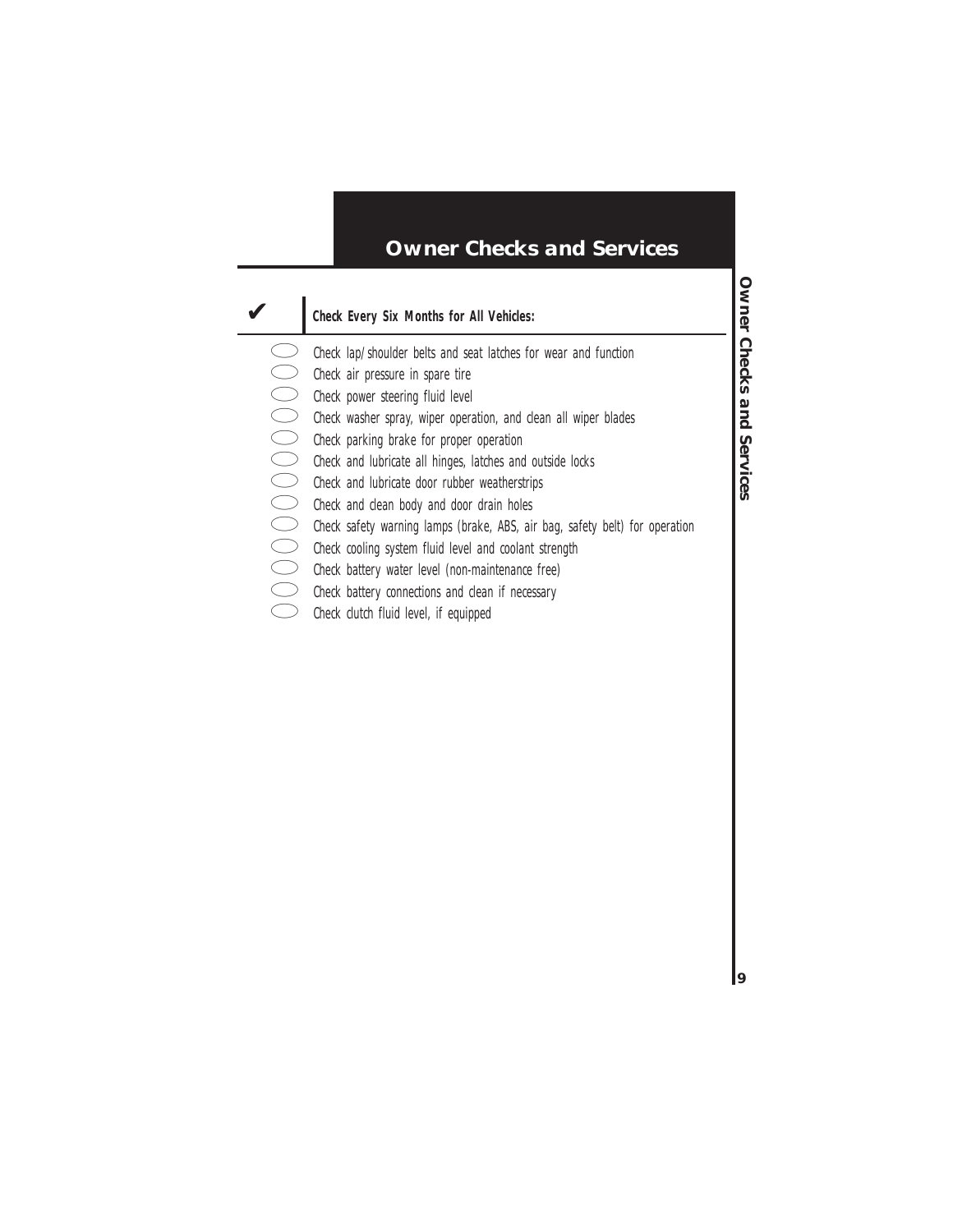### **Owner Checks and Services**

#### ✔ **Check Every Six Months for All Vehicles:**

- 
- Check air pressure in spare tire
- Check power steering fluid level
- Check washer spray, wiper operation, and clean all wiper blades
- Check parking brake for proper operation
- Check and lubricate all hinges, latches and outside locks
- Check and lubricate door rubber weatherstrips
- Check and clean body and door drain holes
- Check lap/shoulder belts and seat latches for wear and function<br>
Check air pressure in spare tire<br>
Check power steering fluid level<br>
Check washer spray, wiper operation, and clean all wiper blades<br>
Check parking brake for Check safety warning lamps (brake, ABS, air bag, safety belt) for operation
	- Check cooling system fluid level and coolant strength
	- Check battery water level (non-maintenance free)
	- Check battery connections and clean if necessary
	- Check clutch fluid level, if equipped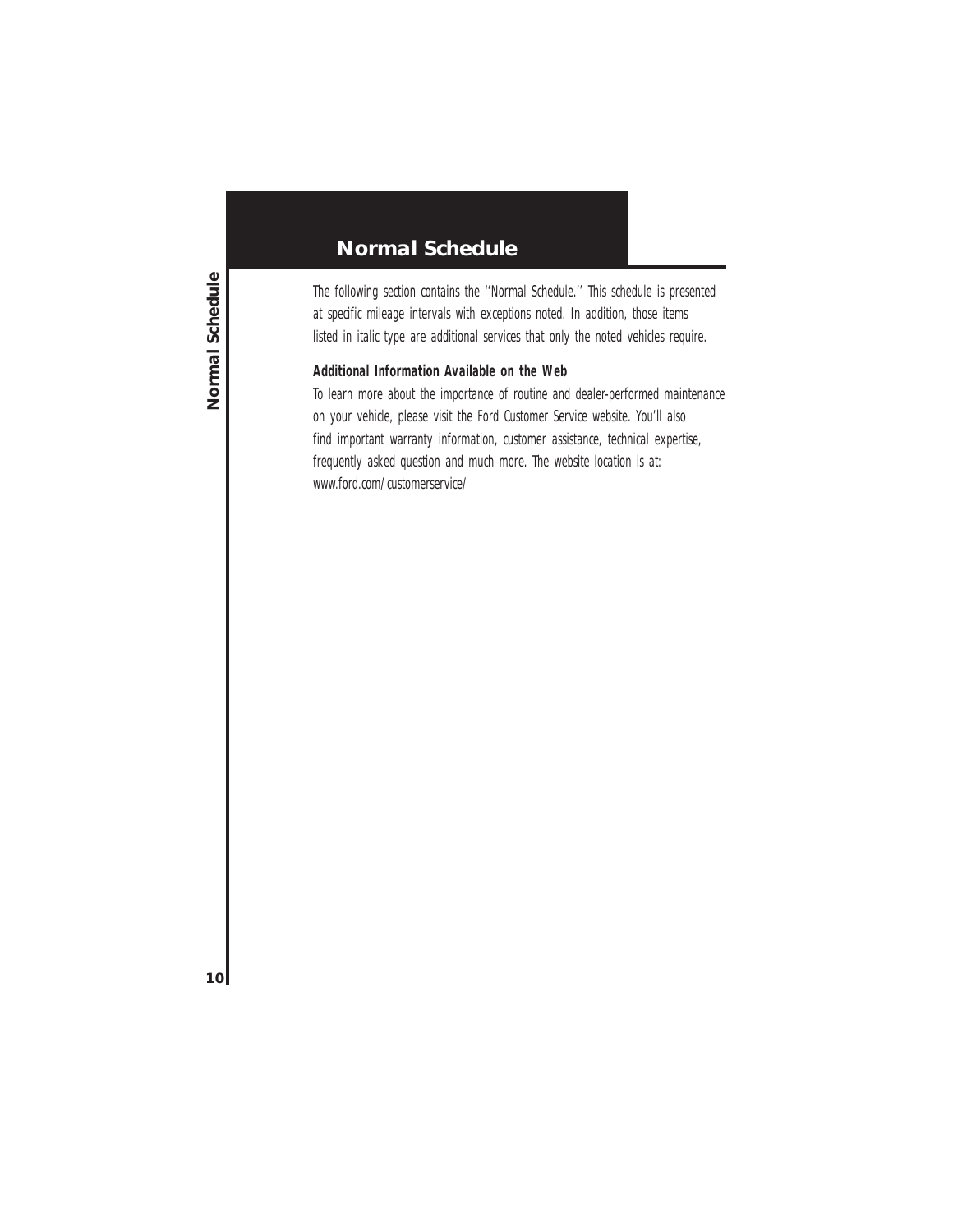The following section contains the ''Normal Schedule.'' This schedule is presented at specific mileage intervals with exceptions noted. In addition, those items listed in italic type are additional services that only the noted vehicles require.

#### **Additional Information Available on the Web**

To learn more about the importance of routine and dealer-performed maintenance on your vehicle, please visit the Ford Customer Service website. You'll also find important warranty information, customer assistance, technical expertise, frequently asked question and much more. The website location is at: www.ford.com/customerservice/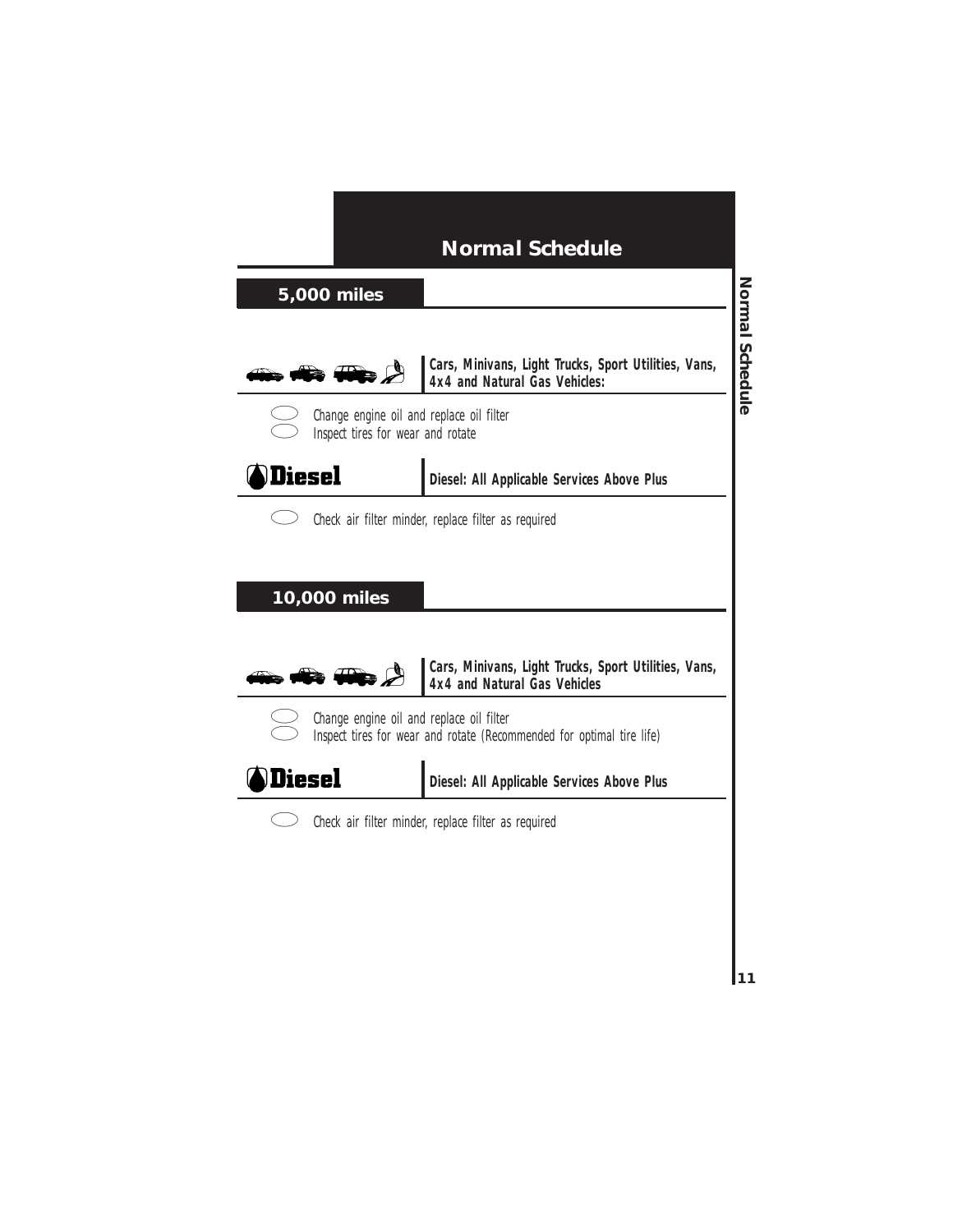### **5,000 miles**



**Cars, Minivans, Light Trucks, Sport Utilities, Vans, 4x4 and Natural Gas Vehicles:**



Change engine oil and replace oil filter Inspect tires for wear and rotate



**Diesel: All Applicable Services Above Plus**



Check air filter minder, replace filter as required

#### **10,000 miles**



**Cars, Minivans, Light Trucks, Sport Utilities, Vans, 4x4 and Natural Gas Vehicles**



Change engine oil and replace oil filter Inspect tires for wear and rotate (Recommended for optimal tire life)



**Diesel: All Applicable Services Above Plus**



Check air filter minder, replace filter as required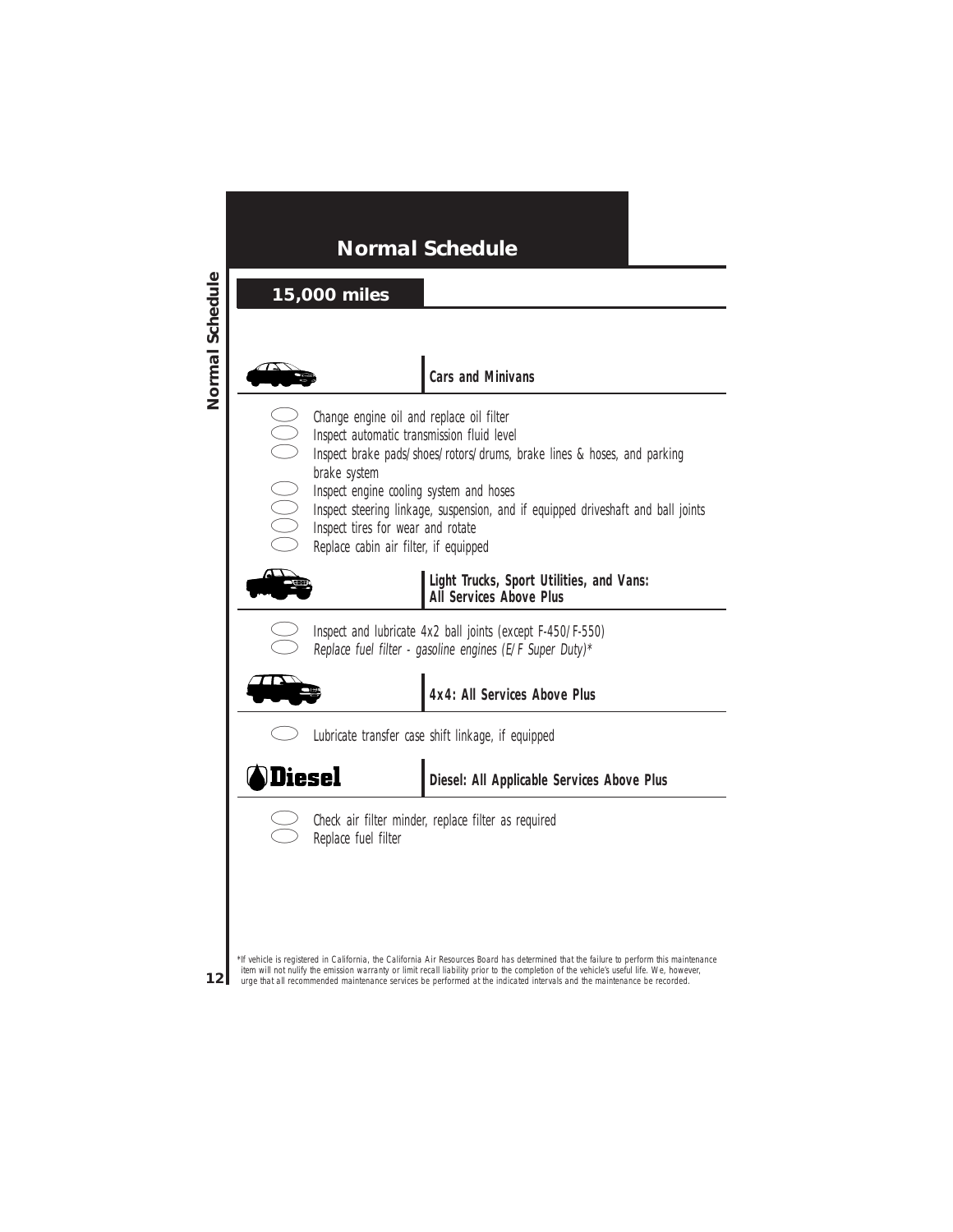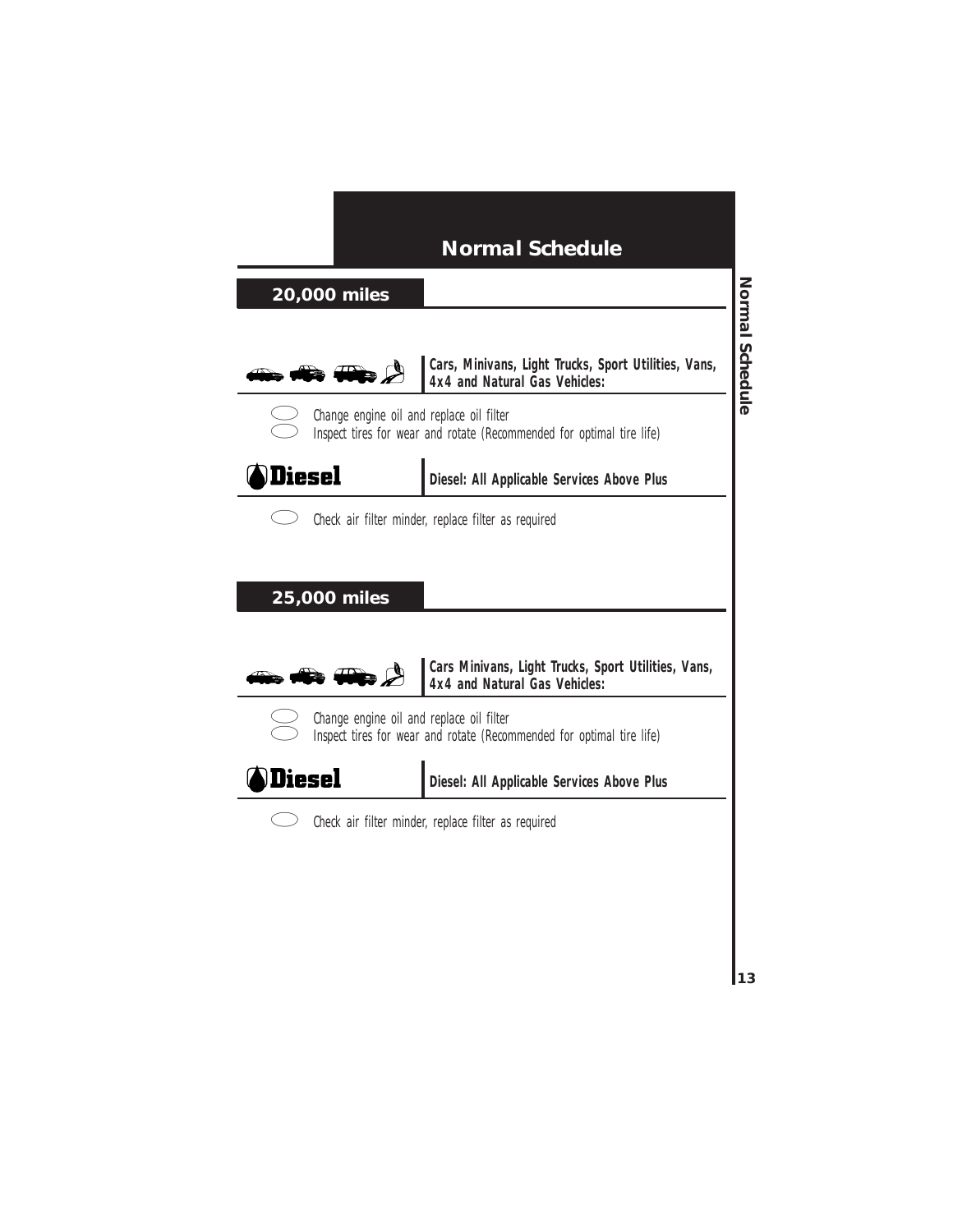### **20,000 miles**



**Cars, Minivans, Light Trucks, Sport Utilities, Vans, 4x4 and Natural Gas Vehicles:**



Change engine oil and replace oil filter Inspect tires for wear and rotate (Recommended for optimal tire life)



**Diesel: All Applicable Services Above Plus**



Check air filter minder, replace filter as required

#### **25,000 miles**



**Cars Minivans, Light Trucks, Sport Utilities, Vans, 4x4 and Natural Gas Vehicles:**



Change engine oil and replace oil filter Inspect tires for wear and rotate (Recommended for optimal tire life)



**Diesel: All Applicable Services Above Plus**



Check air filter minder, replace filter as required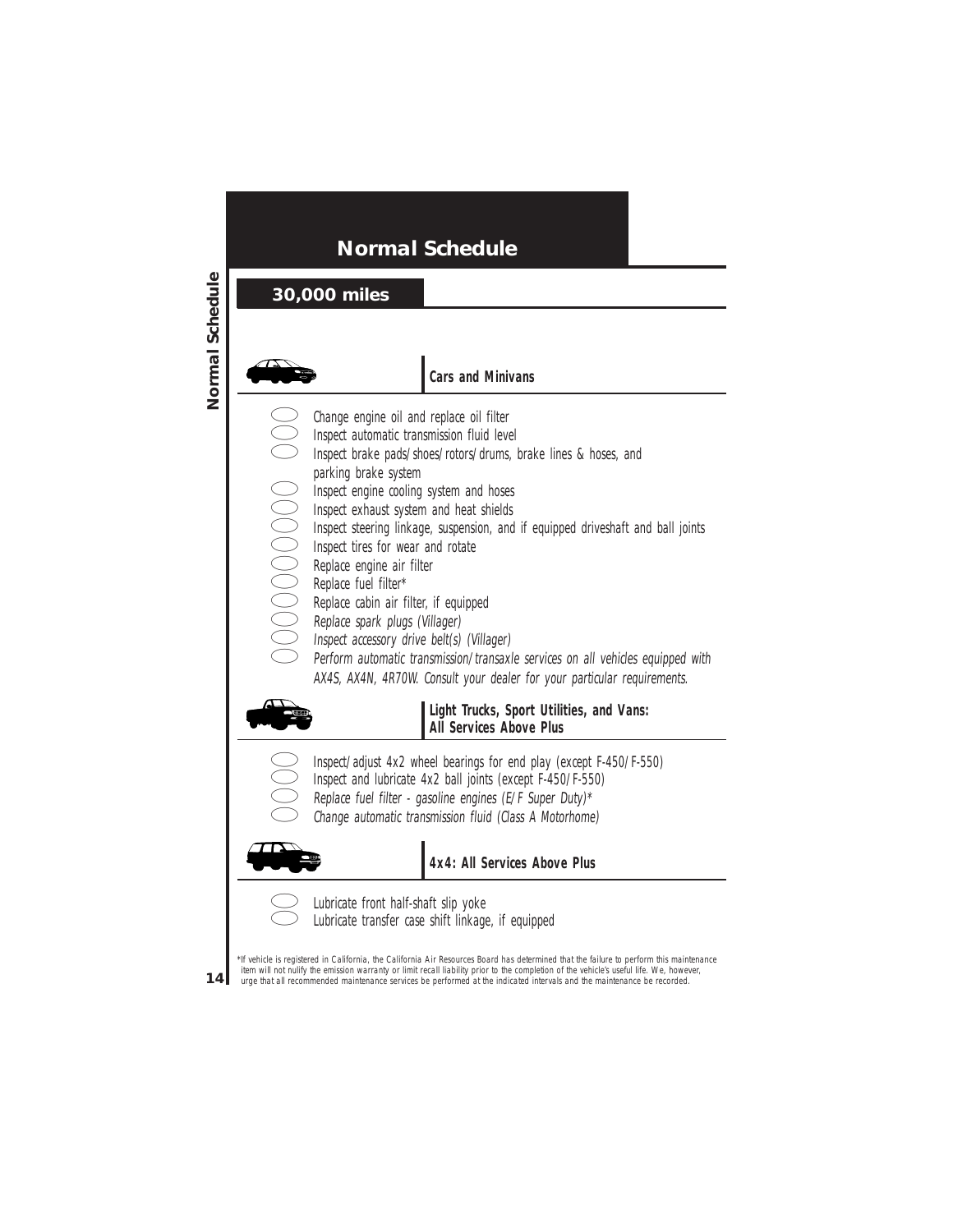### **30,000 miles**



#### **Cars and Minivans**

- Change engine oil and replace oil filter
	- Inspect automatic transmission fluid level
- Inspect brake pads/shoes/rotors/drums, brake lines & hoses, and<br>parking brake system<br>Inspect engine cooling system and hoses<br>Inspect exhaust system and heat shields<br>Inspect teering linkage, suspension, and if equipped driv
	- parking brake system
	- Inspect engine cooling system and hoses
	- Inspect exhaust system and heat shields
	- Inspect steering linkage, suspension, and if equipped driveshaft and ball joints
	- Inspect tires for wear and rotate
	- Replace engine air filter
	- Replace fuel filter\*
	- Replace cabin air filter, if equipped
	- Replace spark plugs (Villager)
	- Inspect accessory drive belt(s) (Villager)
		- Perform automatic transmission/transaxle services on all vehicles equipped with AX4S, AX4N, 4R70W. Consult your dealer for your particular requirements.



**Light Trucks, Sport Utilities, and Vans: All Services Above Plus**

- Inspect/adjust 4x2 wheel bearings for end play (except F-450/F-550)
- Inspect and lubricate 4x2 ball joints (except F-450/F-550)
- 

Replace fuel filter - gasoline engines (E/F Super Duty)\*

Change automatic transmission fluid (Class A Motorhome)



**4x4: All Services Above Plus**



Lubricate front half-shaft slip yoke Lubricate transfer case shift linkage, if equipped

\*If vehicle is registered in California, the California Air Resources Board has determined that the failure to perform this maintenance item will not nulify the emission warranty or limit recall liability prior to the completion of the vehicle's useful life. We, however, urge that all recommended maintenance services be performed at the indicated intervals and the maintenance be recorded.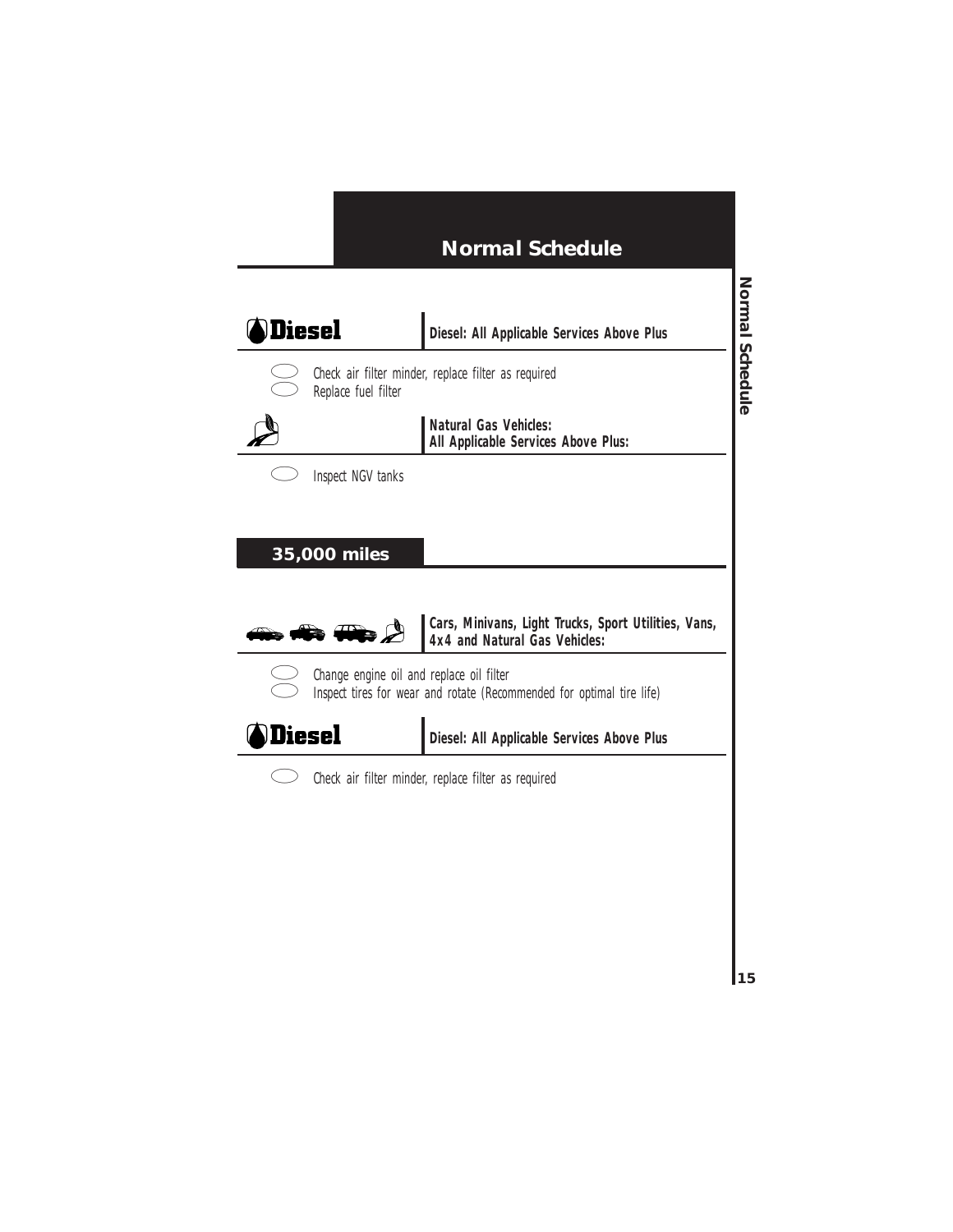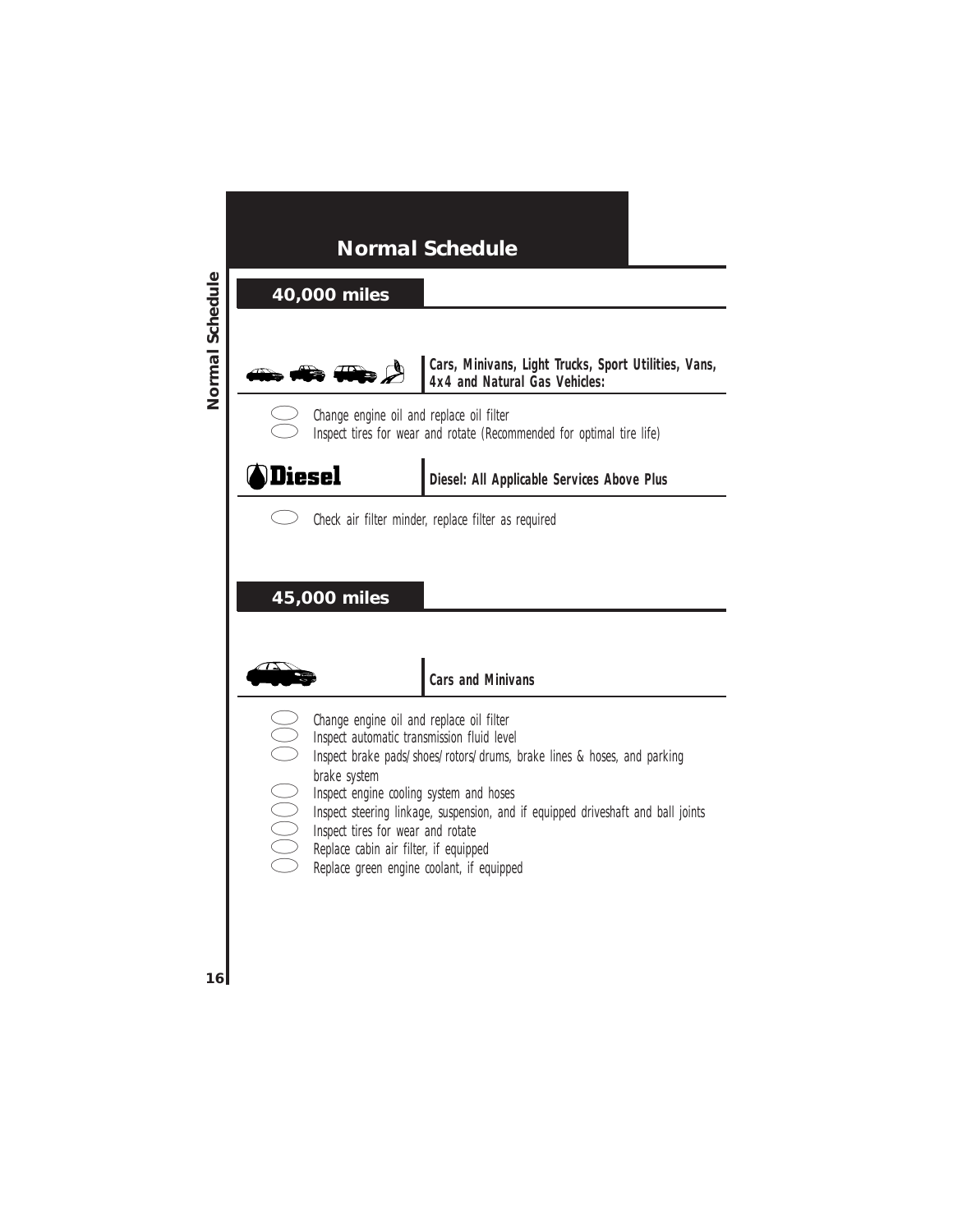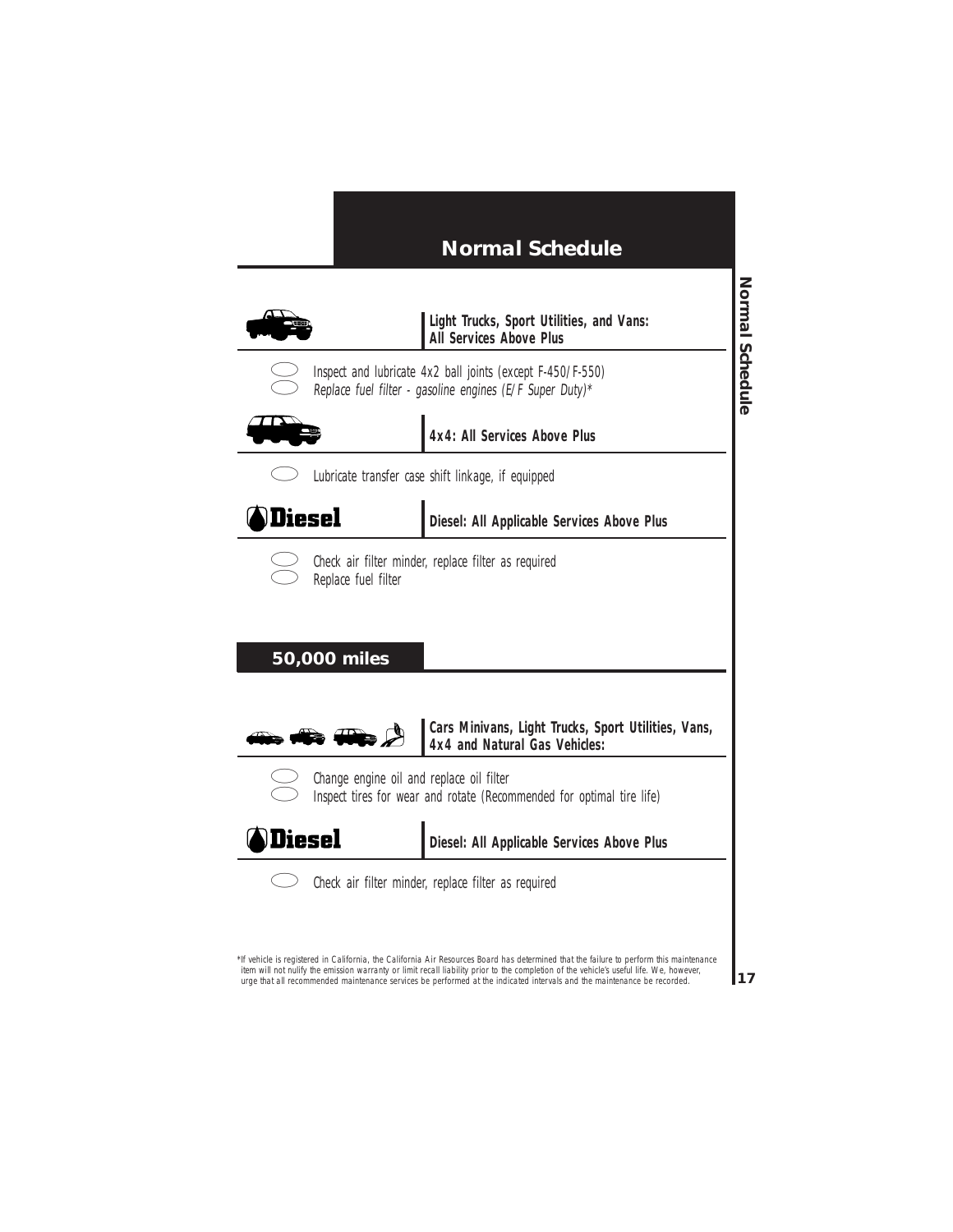

Check air filter minder, replace filter as required

\*If vehicle is registered in California, the California Air Resources Board has determined that the failure to perform this maintenance item will not nulify the emission warranty or limit recall liability prior to the completion of the vehicle's useful life. We, however, urge that all recommended maintenance services be performed at the indicated intervals and the maintenance be recorded.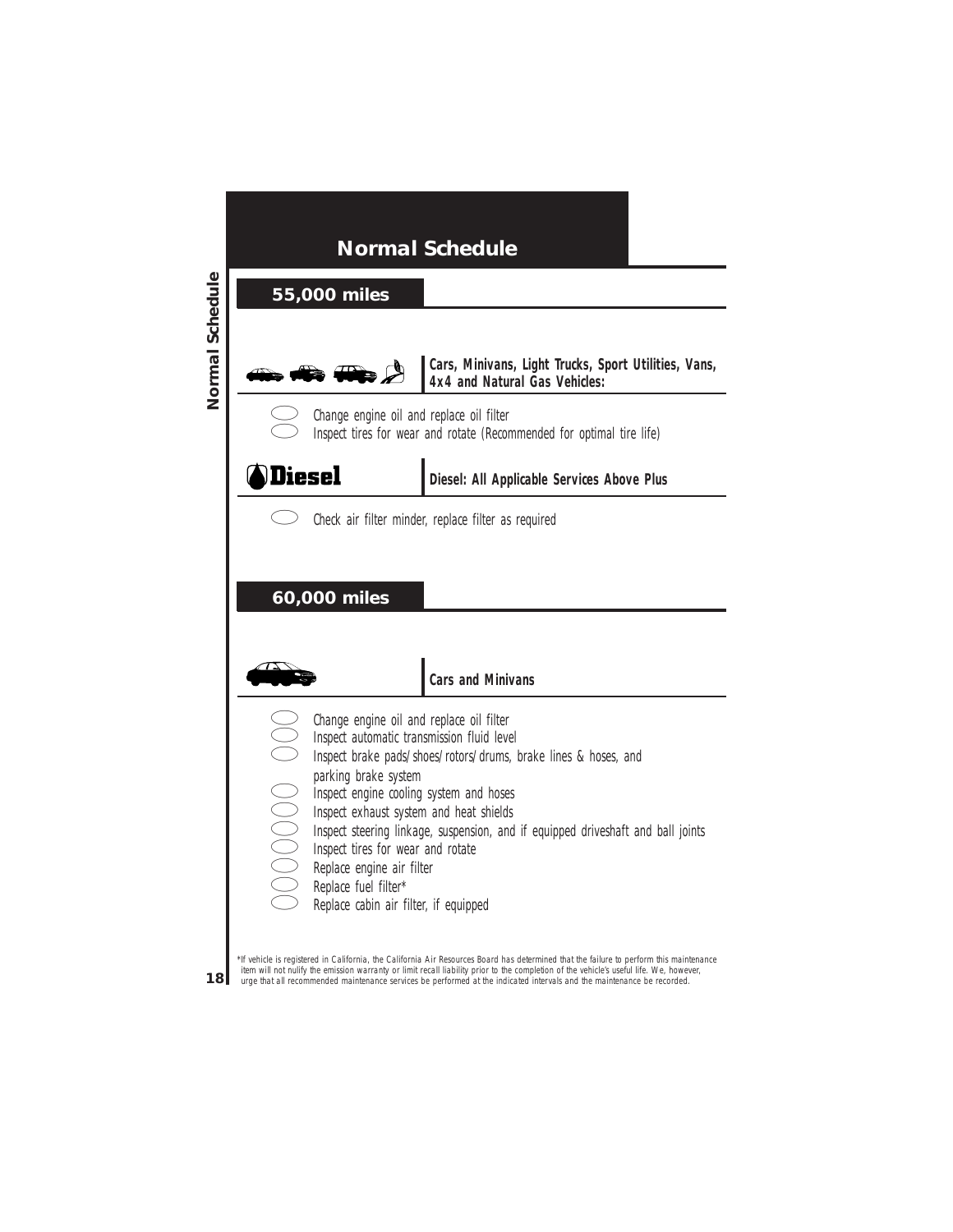

**Cars, Minivans, Light Trucks, Sport Utilities, Vans, 4x4 and Natural Gas Vehicles:**



Change engine oil and replace oil filter Inspect tires for wear and rotate (Recommended for optimal tire life)



**Diesel: All Applicable Services Above Plus**



Check air filter minder, replace filter as required

### **60,000 miles**



#### **Cars and Minivans**

- Change engine oil and replace oil filter
- Inspect automatic transmission fluid level
- Inspect brake pads/shoes/rotors/drums, brake lines & hoses, and<br>parking brake system<br>Inspect engine cooling system and hoses<br>Inspect exhaust system and heat shields<br>Inspect steering linkage, suspension, and if equipped dri parking brake system
	-
	- Inspect engine cooling system and hoses
	- Inspect exhaust system and heat shields
	- Inspect steering linkage, suspension, and if equipped driveshaft and ball joints
	- Inspect tires for wear and rotate
	- Replace engine air filter
	- Replace fuel filter\*
	- Replace cabin air filter, if equipped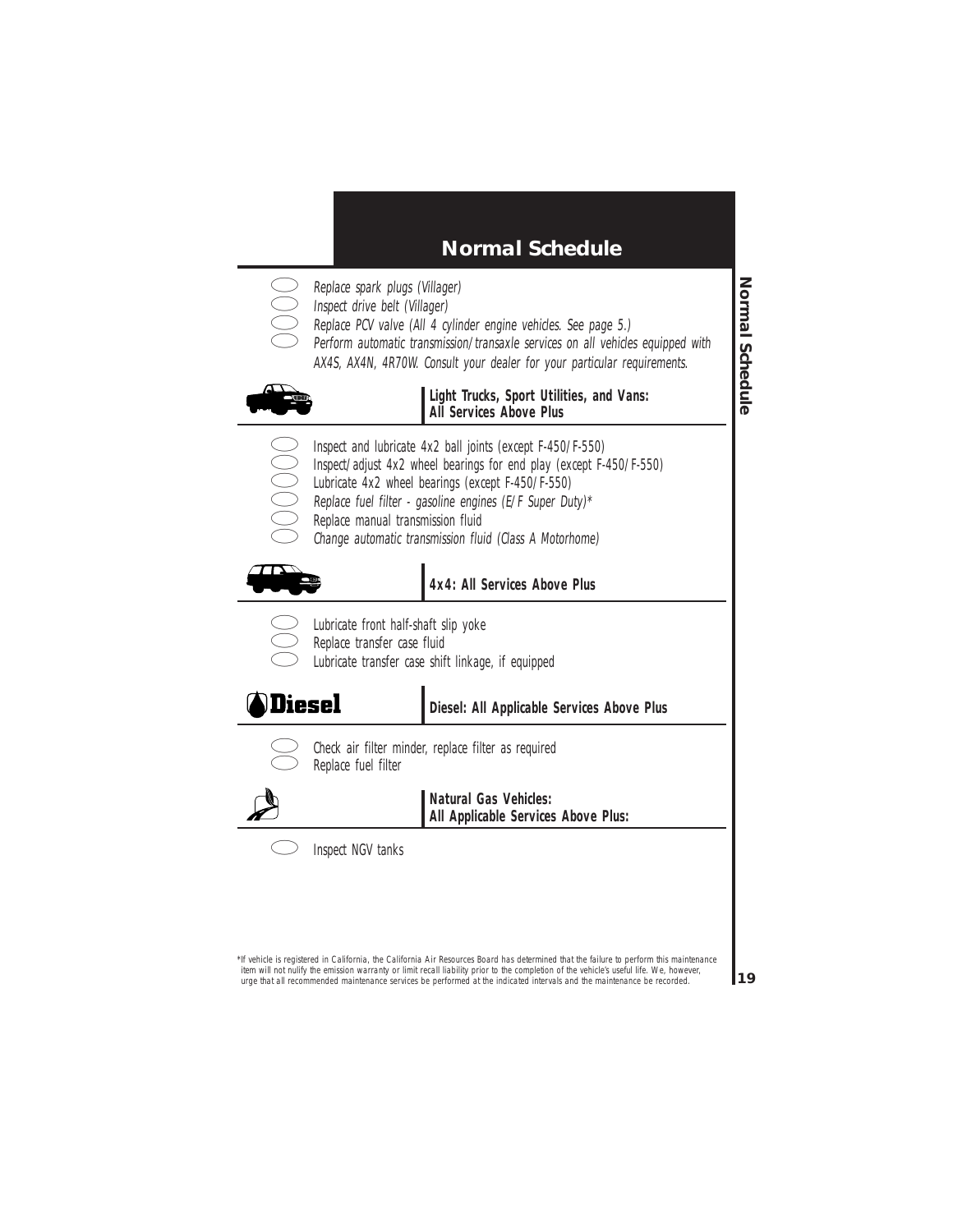- - Replace spark plugs (Villager)
	- Inspect drive belt (Villager)
		- Replace PCV valve (All 4 cylinder engine vehicles. See page 5.)
			- Perform automatic transmission/transaxle services on all vehicles equipped with
				- AX4S, AX4N, 4R70W. Consult your dealer for your particular requirements.



#### **Light Trucks, Sport Utilities, and Vans: All Services Above Plus**

- Inspect and lubricate 4x2 ball joints (except F-450/F-550)
- Inspect/adjust 4x2 wheel bearings for end play (except F-450/F-550)
- Lubricate 4x2 wheel bearings (except F-450/F-550)
- Replace fuel filter gasoline engines (E/F Super Duty)\*
- Replace manual transmission fluid
- Change automatic transmission fluid (Class A Motorhome)



### **4x4: All Services Above Plus**

- 
- Lubricate front half-shaft slip yoke
- Replace transfer case fluid
	- Lubricate transfer case shift linkage, if equipped

# **Diesel**

**Diesel: All Applicable Services Above Plus**



Check air filter minder, replace filter as required Replace fuel filter



**Natural Gas Vehicles: All Applicable Services Above Plus:**



Inspect NGV tanks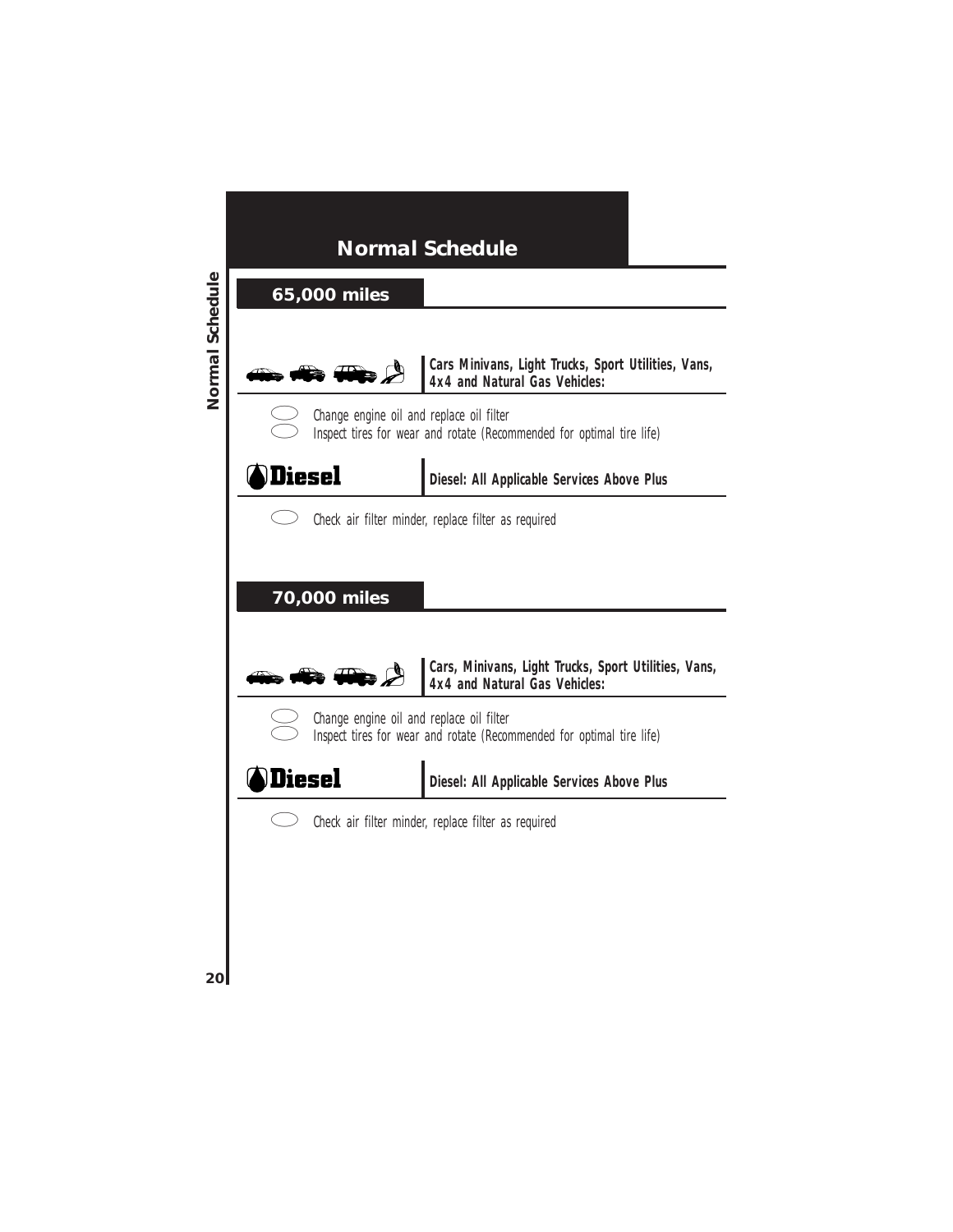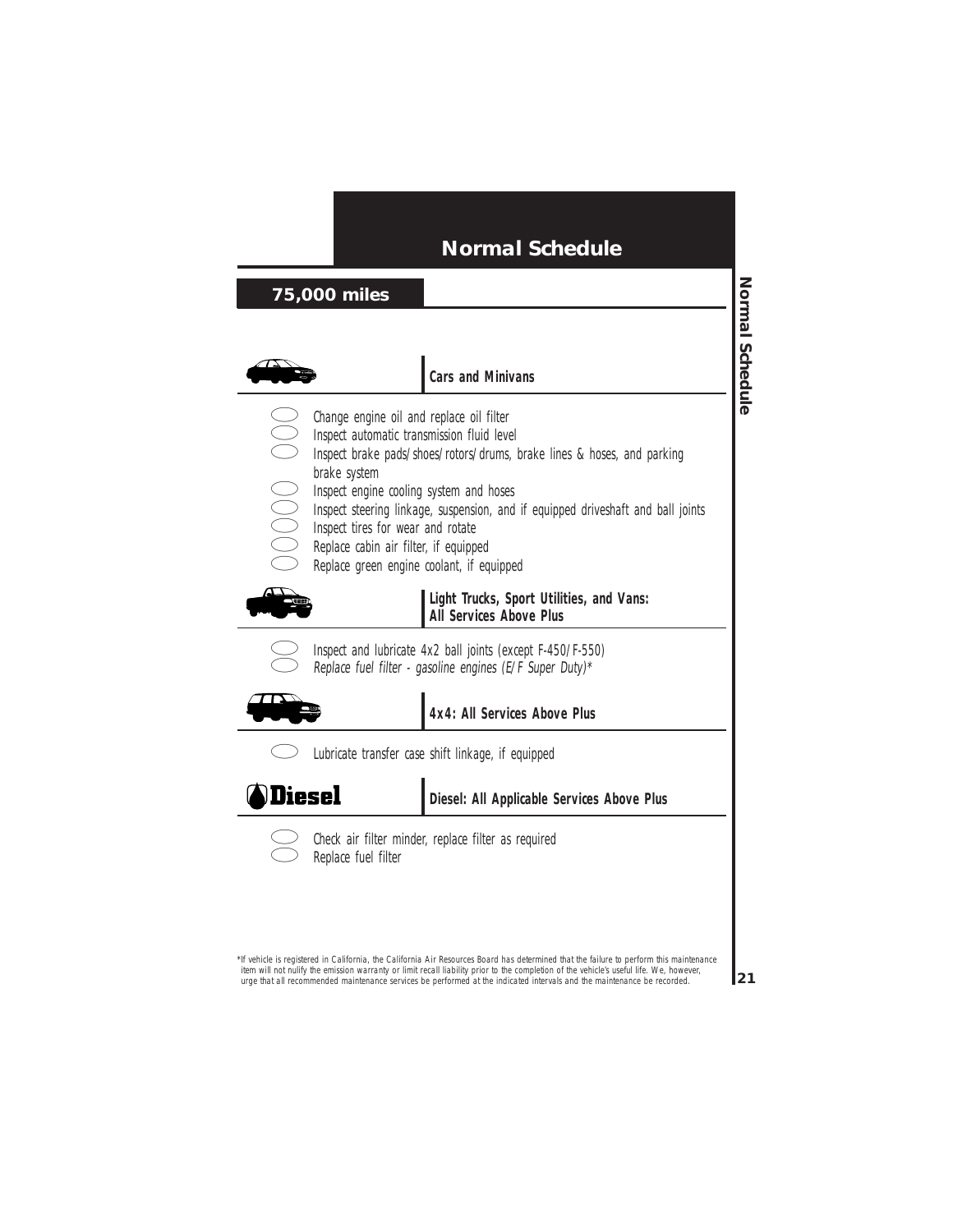### **75,000 miles**



#### **Cars and Minivans**

- Change engine oil and replace oil filter
	- Inspect automatic transmission fluid level
- Inspect brake pads/shoes/rotors/drums, brake lines & hoses, and parking<br>brake system<br>Inspect engine cooling system and hoses<br>Inspect steering linkage, suspension, and if equipped driveshaft and ball jo<br>Inspect tires for we brake system
	- Inspect engine cooling system and hoses
	- Inspect steering linkage, suspension, and if equipped driveshaft and ball joints
	- Inspect tires for wear and rotate
	- Replace cabin air filter, if equipped
	- Replace green engine coolant, if equipped



**Light Trucks, Sport Utilities, and Vans: All Services Above Plus**



Inspect and lubricate 4x2 ball joints (except F-450/F-550) Replace fuel filter - gasoline engines (E/F Super Duty)\*



**4x4: All Services Above Plus**

**Diesel** 

**Diesel: All Applicable Services Above Plus**



Check air filter minder, replace filter as required Replace fuel filter

Lubricate transfer case shift linkage, if equipped

\*If vehicle is registered in California, the California Air Resources Board has determined that the failure to perform this maintenance item will not nulify the emission warranty or limit recall liability prior to the completion of the vehicle's useful life. We, however, urge that all recommended maintenance services be performed at the indicated intervals and the maintenance be recorded.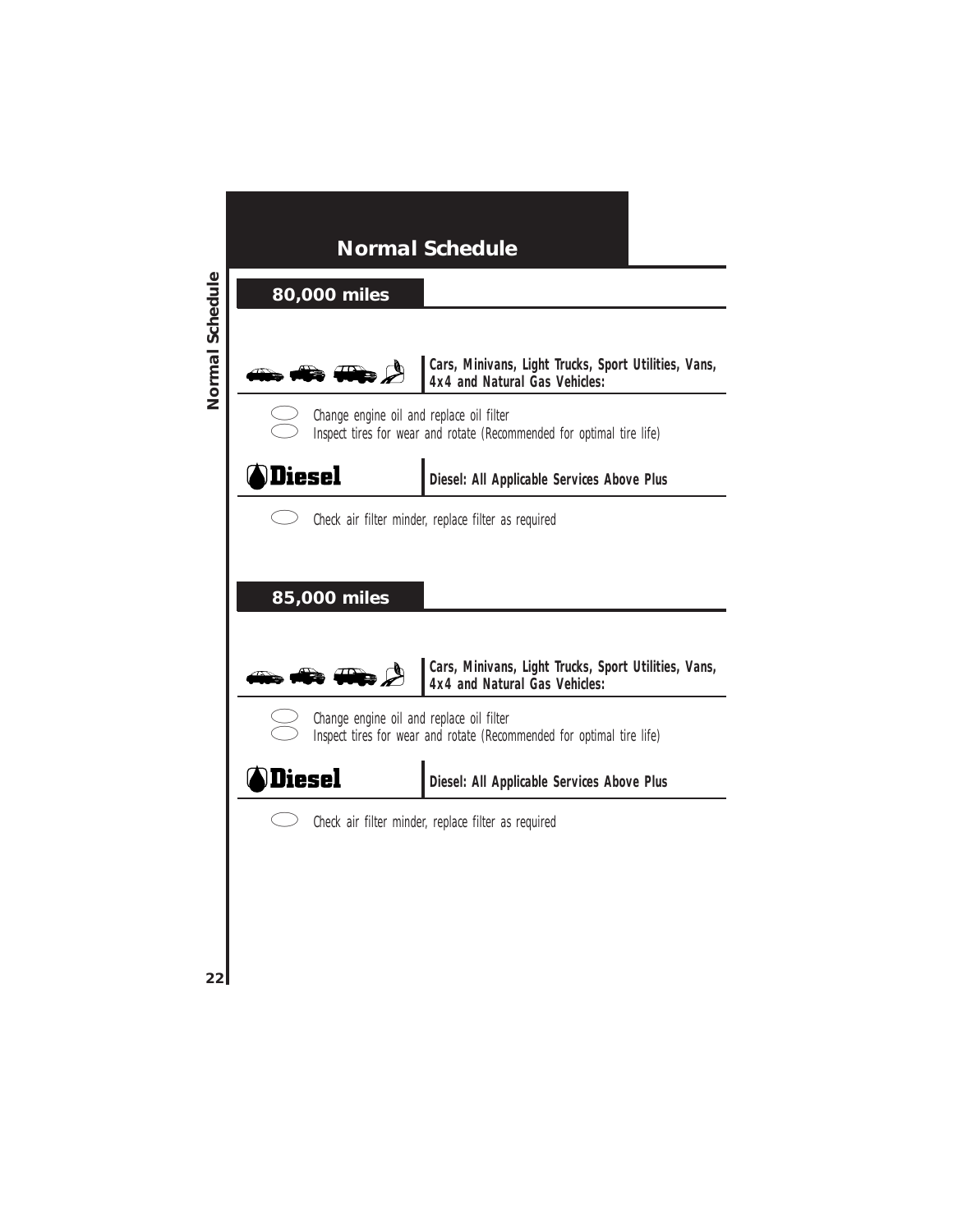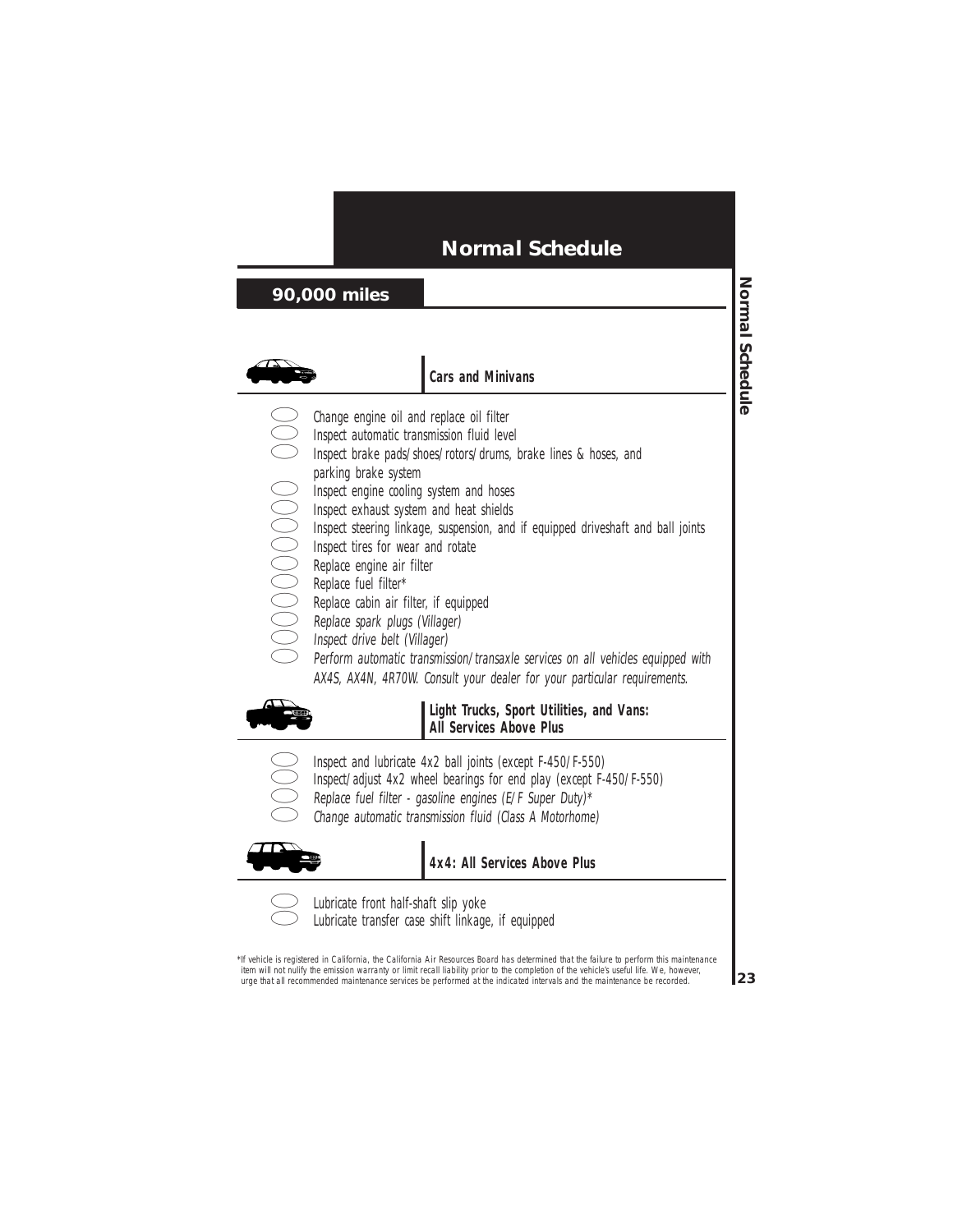### **90,000 miles**



#### **Cars and Minivans**

- Change engine oil and replace oil filter
- 
- Inspect brake pads/shoes/rotors/drums, brake lines & hoses, and
	- parking brake system
- Inspect engine cooling system and hoses
- Inspect exhaust system and heat shields
- Inspect automatic transmission fluid level<br>Inspect brake pads/shoes/rotors/drums, l<br>parking brake system<br>Inspect eigine cooling system and hoses<br>Inspect eigine cooling system and heat shields<br>Inspect trees for wear and rot Inspect steering linkage, suspension, and if equipped driveshaft and ball joints
	- Inspect tires for wear and rotate
	- Replace engine air filter
	- Replace fuel filter\*
	- Replace cabin air filter, if equipped
	- Replace spark plugs (Villager)
	- Inspect drive belt (Villager)
		- Perform automatic transmission/transaxle services on all vehicles equipped with AX4S, AX4N, 4R70W. Consult your dealer for your particular requirements.



**Light Trucks, Sport Utilities, and Vans: All Services Above Plus**

- Inspect and lubricate 4x2 ball joints (except F-450/F-550)
- Inspect/adjust 4x2 wheel bearings for end play (except F-450/F-550)
- Replace fuel filter gasoline engines (E/F Super Duty)\*
- Change automatic transmission fluid (Class A Motorhome)



**4x4: All Services Above Plus**



Lubricate front half-shaft slip yoke Lubricate transfer case shift linkage, if equipped

\*If vehicle is registered in California, the California Air Resources Board has determined that the failure to perform this maintenance item will not nulify the emission warranty or limit recall liability prior to the completion of the vehicle's useful life. We, however, urge that all recommended maintenance services be performed at the indicated intervals and the maintenance be recorded.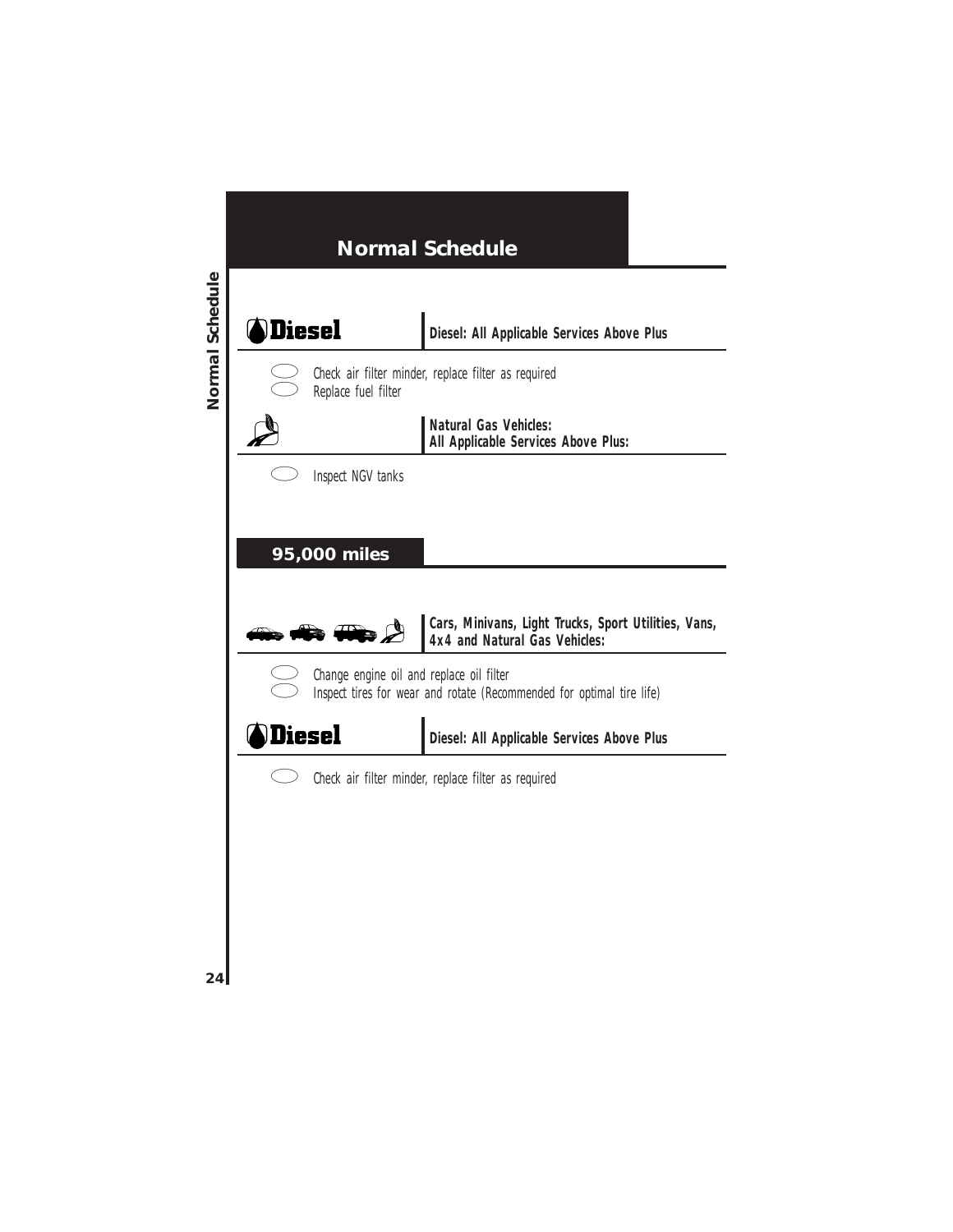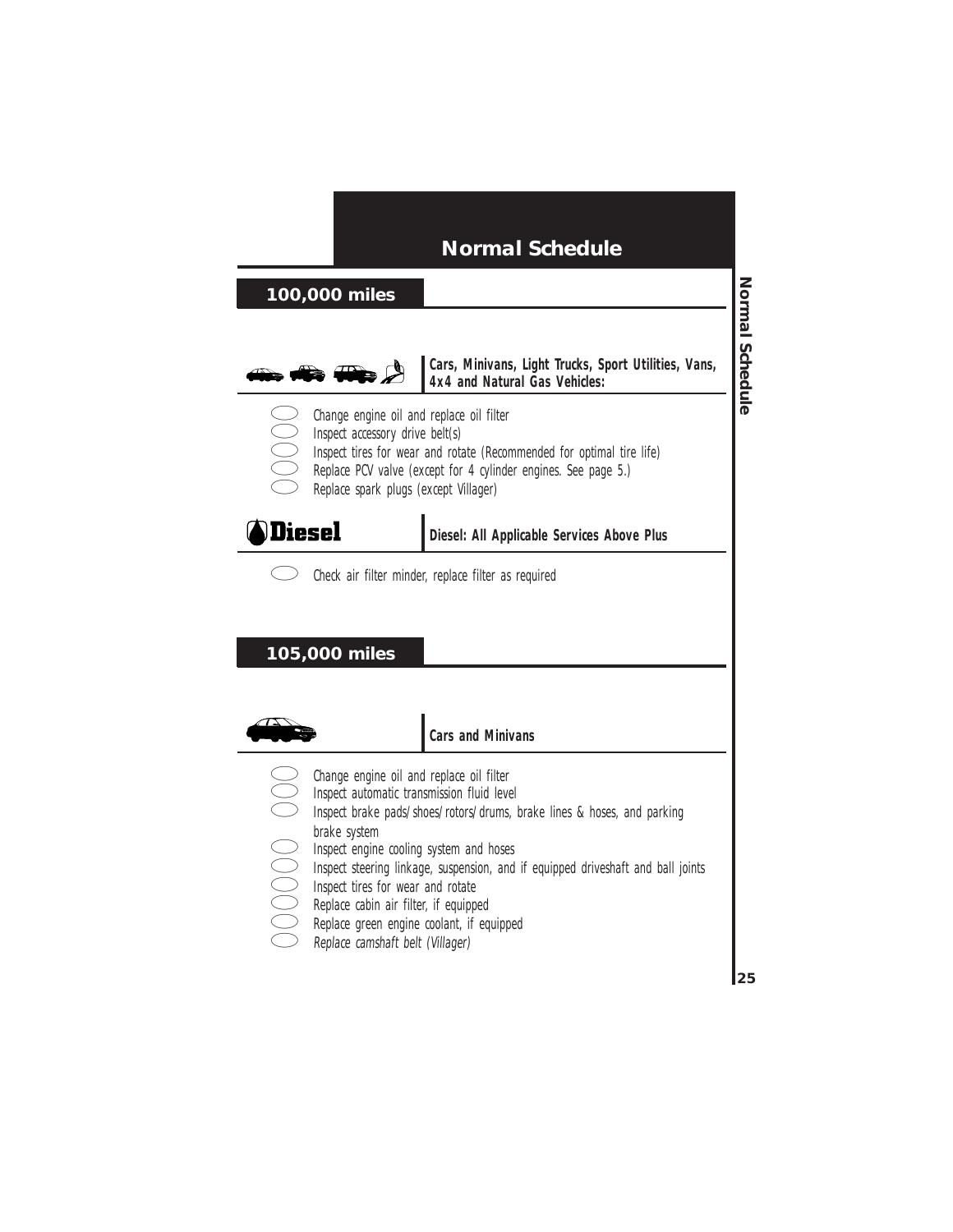### **100,000 miles**



**Cars, Minivans, Light Trucks, Sport Utilities, Vans, 4x4 and Natural Gas Vehicles:**

- Change engine oil and replace oil filter
- Inspect accessory drive belt(s)
- Inspect tires for wear and rotate (Recommended for optimal tire life)
	- Replace PCV valve (except for 4 cylinder engines. See page 5.)
- Replace spark plugs (except Villager)

# **A**Diesel

**Diesel: All Applicable Services Above Plus**

Check air filter minder, replace filter as required

### **105,000 miles**



#### **Cars and Minivans**

- Change engine oil and replace oil filter
- 
- Inspect automatic transmission fluid level<br>Inspect brake pads/shoes/rotors/drums, l<br>brake system<br>Inspect engine cooling system and hoses<br>Inspect steering linkage, suspension, and<br>Inspect tires for wear and rotate<br>Replace c Inspect brake pads/shoes/rotors/drums, brake lines & hoses, and parking brake system
	- Inspect engine cooling system and hoses
	- Inspect steering linkage, suspension, and if equipped driveshaft and ball joints
	- Inspect tires for wear and rotate
	- Replace cabin air filter, if equipped
	- Replace green engine coolant, if equipped
	- Replace camshaft belt (Villager)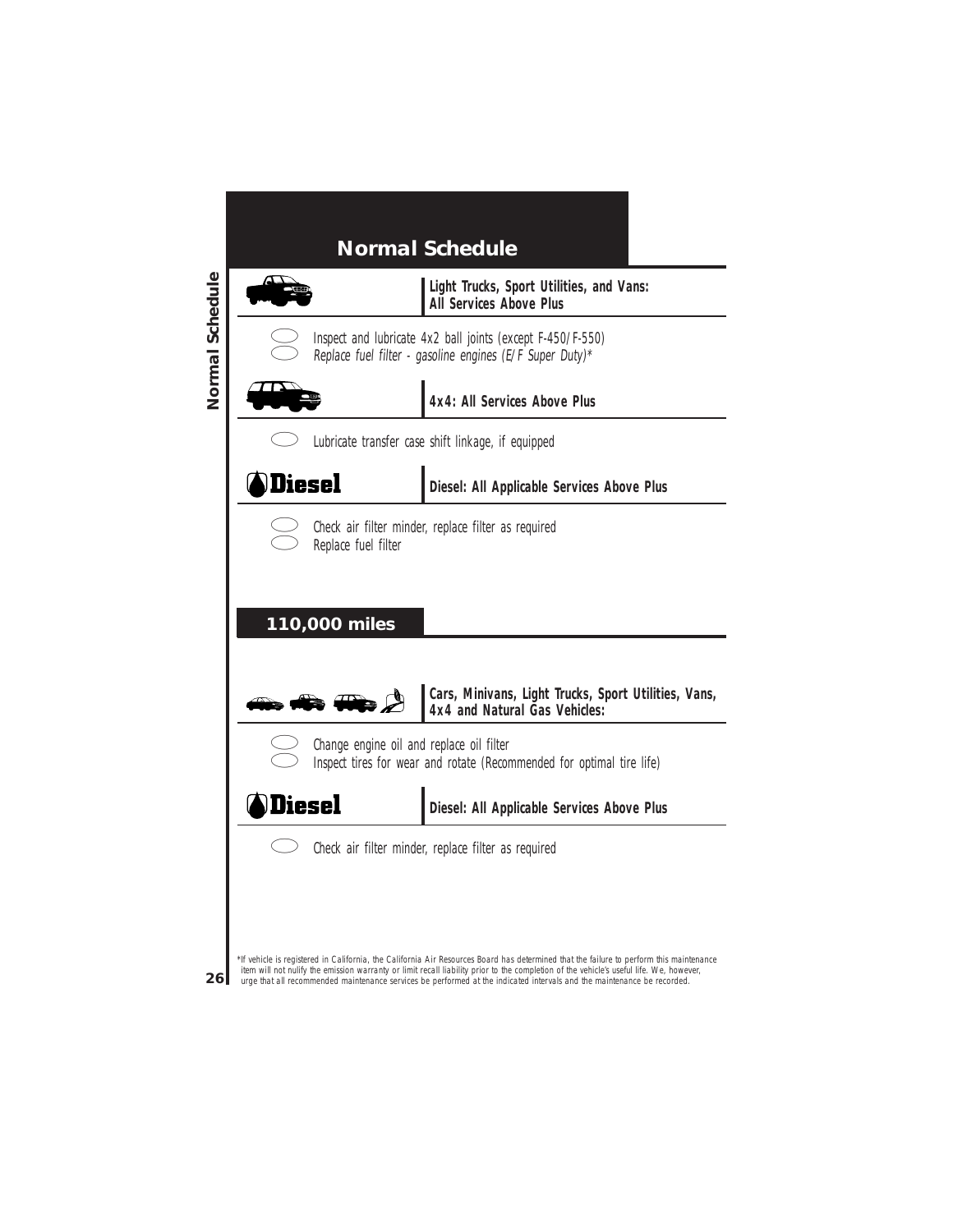

urge that all recommended maintenance services be performed at the indicated intervals and the maintenance be recorded.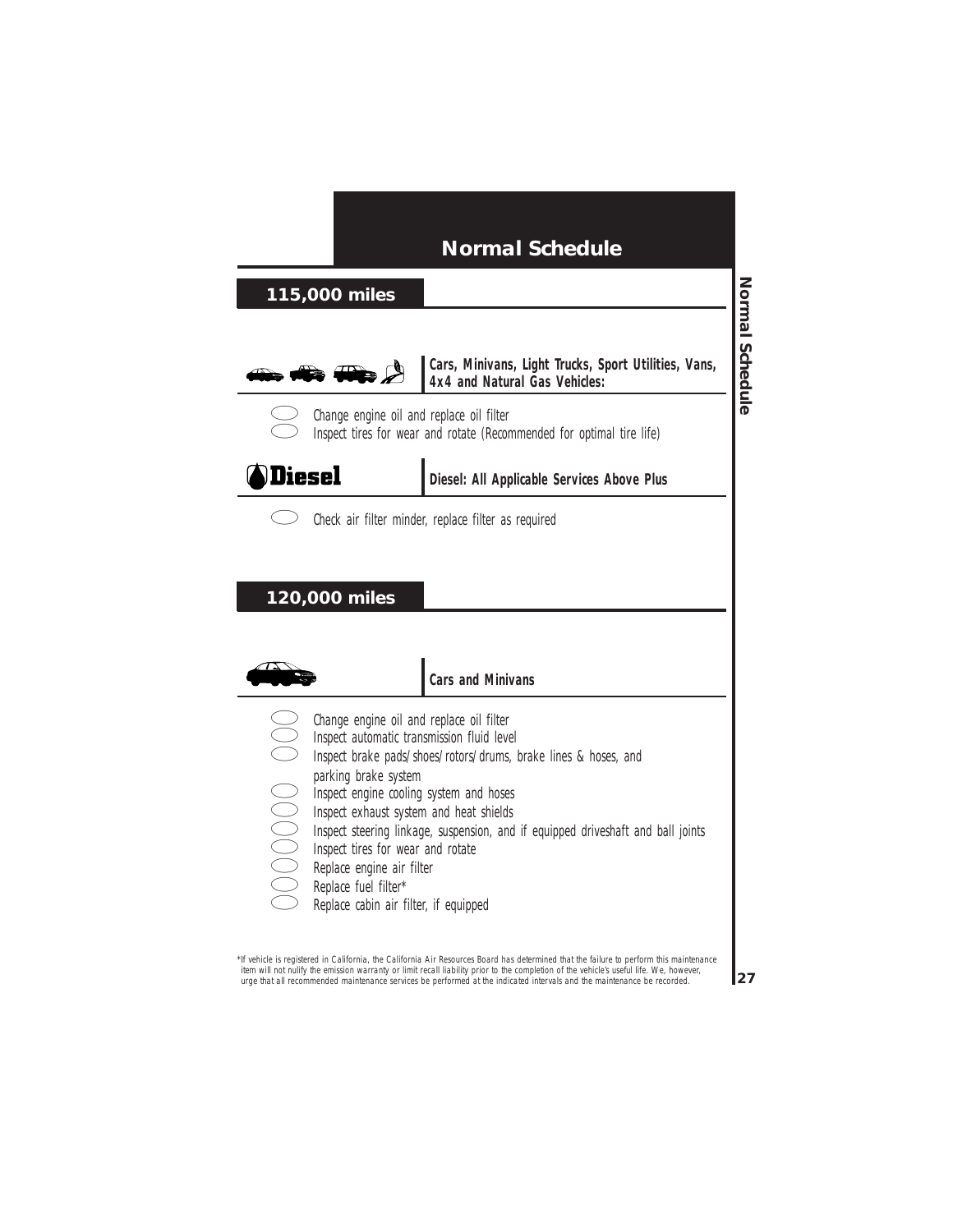### **115,000 miles**



**Cars, Minivans, Light Trucks, Sport Utilities, Vans, 4x4 and Natural Gas Vehicles:**



Change engine oil and replace oil filter Inspect tires for wear and rotate (Recommended for optimal tire life)



**Diesel: All Applicable Services Above Plus**



Check air filter minder, replace filter as required

#### **120,000 miles**



#### **Cars and Minivans**

- Change engine oil and replace oil filter
- 
- Inspect automatic transmission fluid level<br>Inspect brake pads/shoes/rotors/drums, l<br>parking brake system<br>Inspect engine cooling system and hoses<br>Inspect exhaust system and heat shields<br>Inspect tires for wear and rotate<br>Rep Inspect brake pads/shoes/rotors/drums, brake lines & hoses, and parking brake system
	- Inspect engine cooling system and hoses
	-
	- Inspect exhaust system and heat shields
	- Inspect steering linkage, suspension, and if equipped driveshaft and ball joints
	- Inspect tires for wear and rotate
	- Replace engine air filter
	- Replace fuel filter\*
	- Replace cabin air filter, if equipped

\*If vehicle is registered in California, the California Air Resources Board has determined that the failure to perform this maintenance item will not nulify the emission warranty or limit recall liability prior to the completion of the vehicle's useful life. We, however, urge that all recommended maintenance services be performed at the indicated intervals and the maintenance be recorded.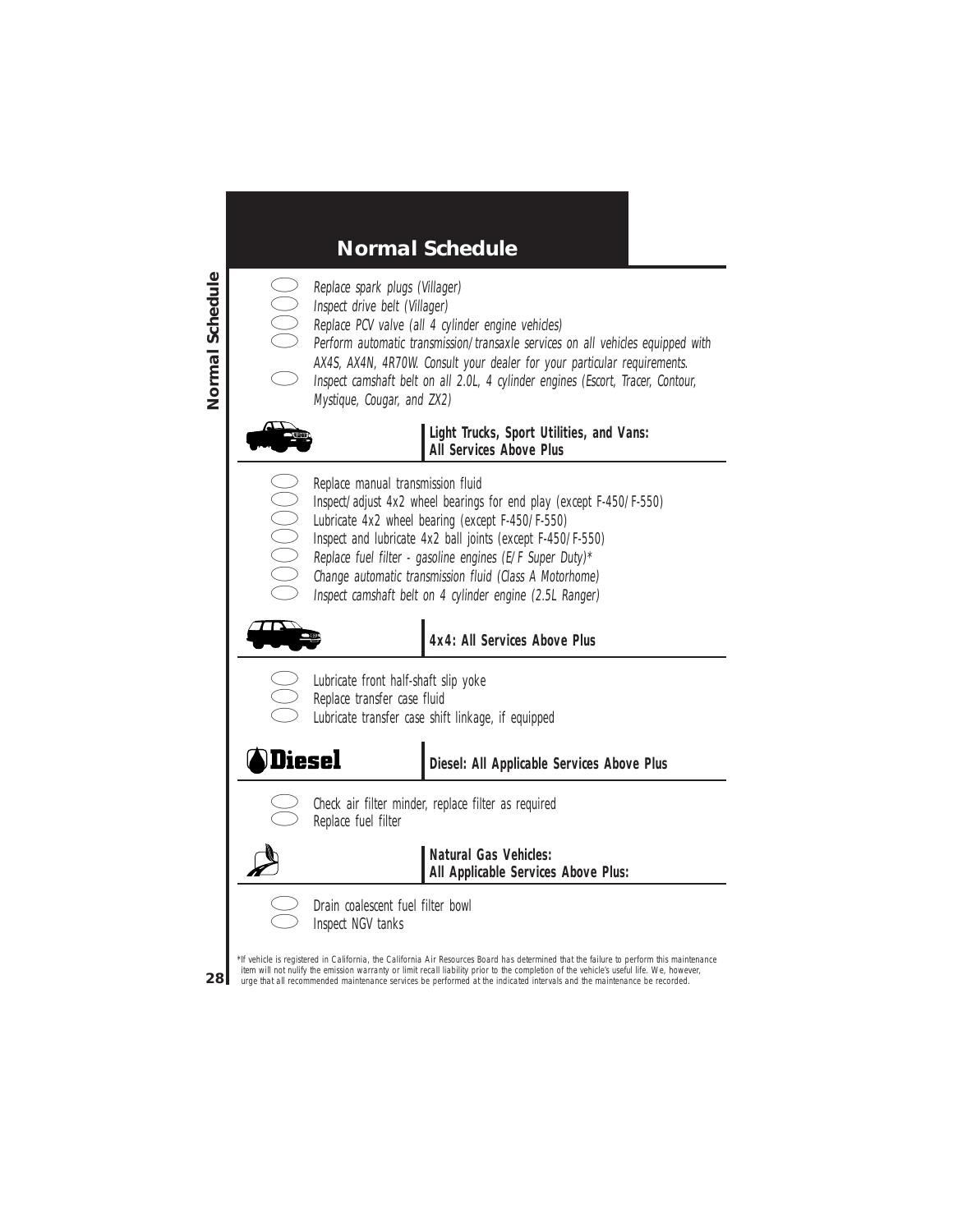- - Replace spark plugs (Villager)
	- Inspect drive belt (Villager)
	- Replace PCV valve (all 4 cylinder engine vehicles)
	- Perform automatic transmission/transaxle services on all vehicles equipped with
	- AX4S, AX4N, 4R70W. Consult your dealer for your particular requirements.
	- Inspect camshaft belt on all 2.0L, 4 cylinder engines (Escort, Tracer, Contour, Mystique, Cougar, and ZX2)



#### **Light Trucks, Sport Utilities, and Vans: All Services Above Plus**

- Replace manual transmission fluid
	- Inspect/adjust 4x2 wheel bearings for end play (except F-450/F-550)
	- Lubricate 4x2 wheel bearing (except F-450/F-550)
		- Inspect and lubricate 4x2 ball joints (except F-450/F-550)
		- Replace fuel filter gasoline engines (E/F Super Duty)\*
		- Change automatic transmission fluid (Class A Motorhome)
		- Inspect camshaft belt on 4 cylinder engine (2.5L Ranger)



### **4x4: All Services Above Plus**

| ×<br>٠ | ×<br>I<br>۰, |
|--------|--------------|
| ×      | ×            |

- Lubricate front half-shaft slip yoke
- Replace transfer case fluid
- Lubricate transfer case shift linkage, if equipped



### **Diesel: All Applicable Services Above Plus**



Check air filter minder, replace filter as required Replace fuel filter



**Natural Gas Vehicles: All Applicable Services Above Plus:**



Drain coalescent fuel filter bowl Inspect NGV tanks

\*If vehicle is registered in California, the California Air Resources Board has determined that the failure to perform this maintenance item will not nulify the emission warranty or limit recall liability prior to the completion of the vehicle's useful life. We, however, urge that all recommended maintenance services be performed at the indicated intervals and the maintenance be recorded.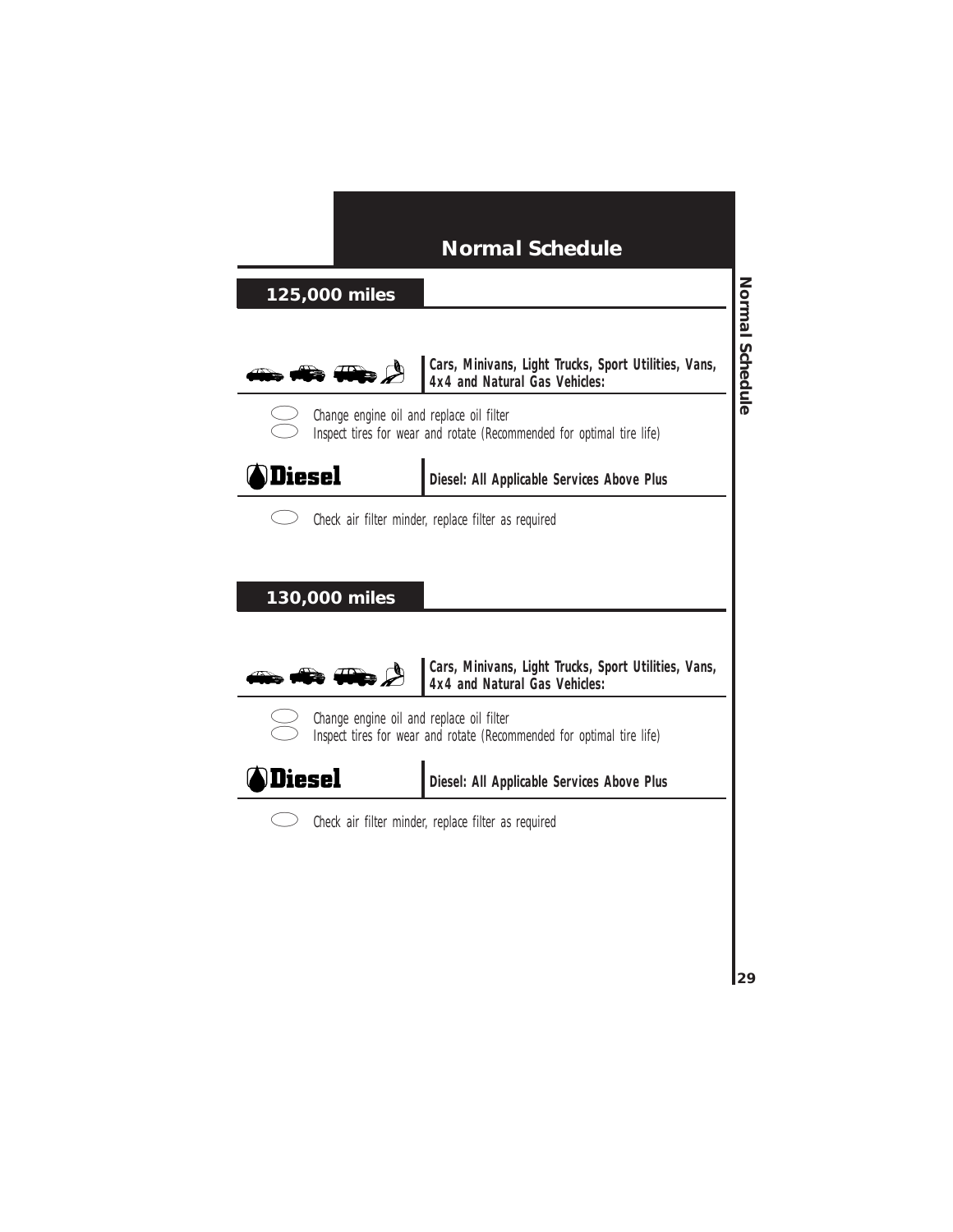### **125,000 miles**



**Cars, Minivans, Light Trucks, Sport Utilities, Vans, 4x4 and Natural Gas Vehicles:**



Change engine oil and replace oil filter Inspect tires for wear and rotate (Recommended for optimal tire life)



**Diesel: All Applicable Services Above Plus**



Check air filter minder, replace filter as required

#### **130,000 miles**



**Cars, Minivans, Light Trucks, Sport Utilities, Vans, 4x4 and Natural Gas Vehicles:**



Change engine oil and replace oil filter Inspect tires for wear and rotate (Recommended for optimal tire life)



**Diesel: All Applicable Services Above Plus**



Check air filter minder, replace filter as required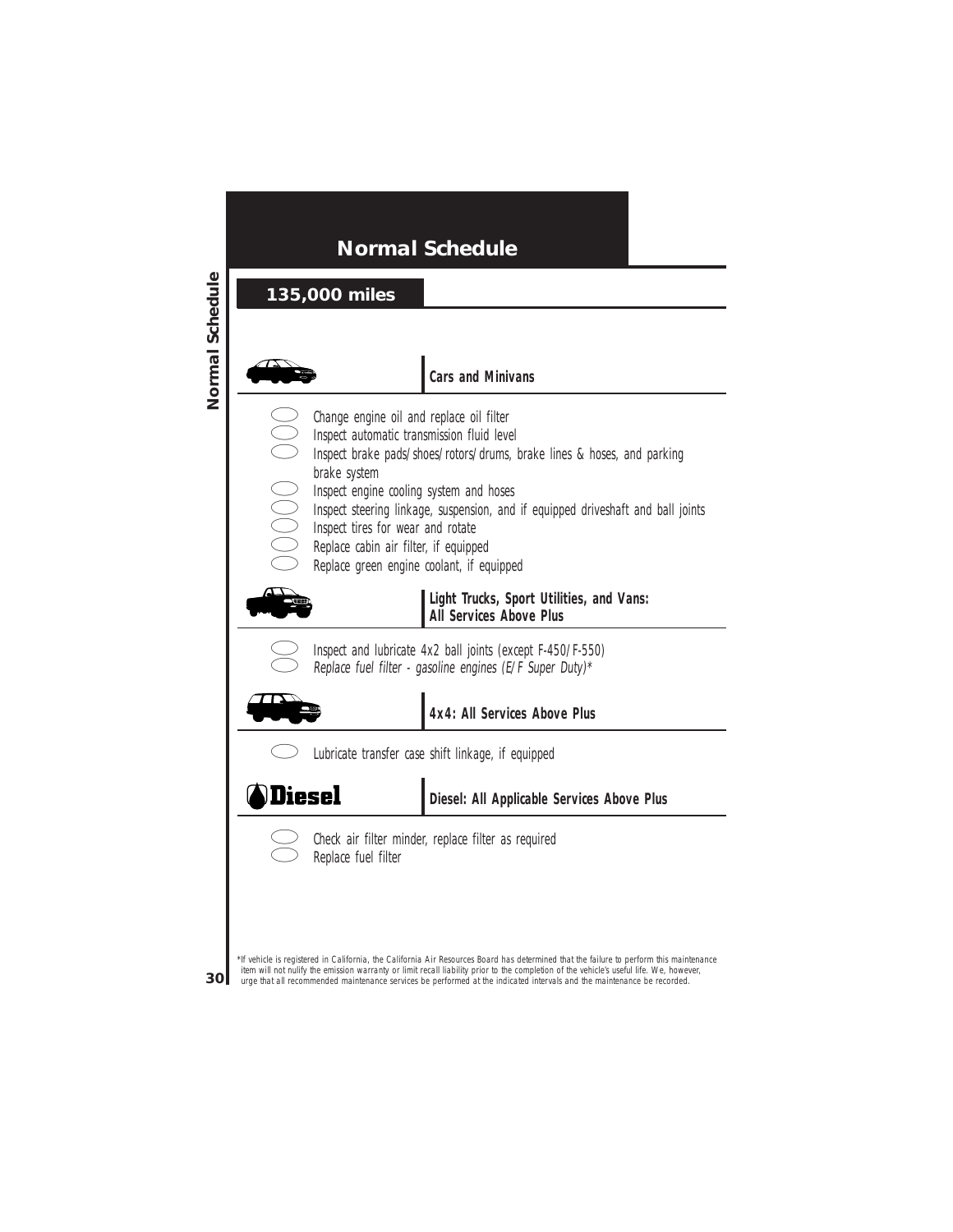30

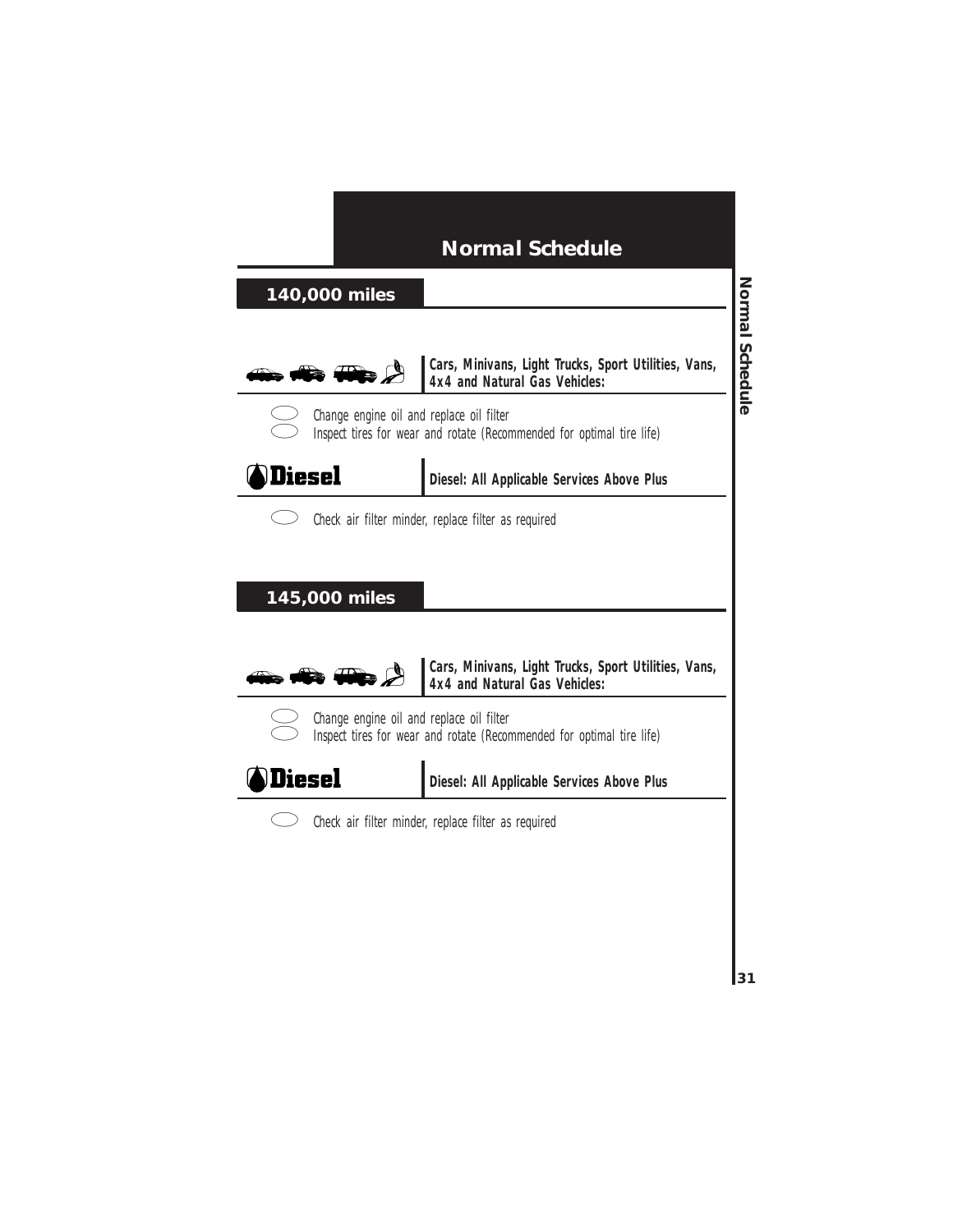### **140,000 miles**



**Cars, Minivans, Light Trucks, Sport Utilities, Vans, 4x4 and Natural Gas Vehicles:**



Change engine oil and replace oil filter Inspect tires for wear and rotate (Recommended for optimal tire life)



**Diesel: All Applicable Services Above Plus**



Check air filter minder, replace filter as required

#### **145,000 miles**



**Cars, Minivans, Light Trucks, Sport Utilities, Vans, 4x4 and Natural Gas Vehicles:**



Change engine oil and replace oil filter Inspect tires for wear and rotate (Recommended for optimal tire life)



**Diesel: All Applicable Services Above Plus**



Check air filter minder, replace filter as required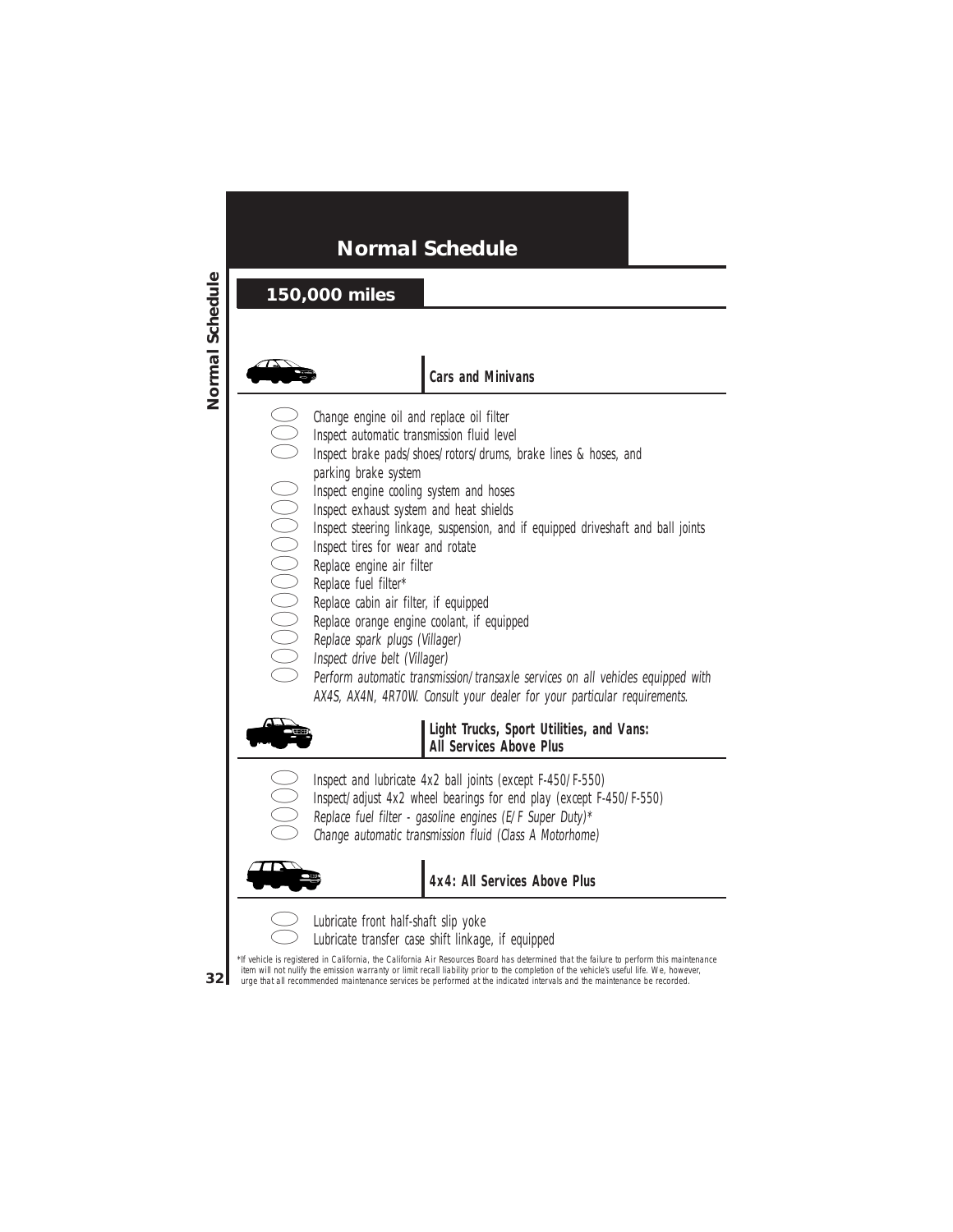

#### **Cars and Minivans**

- Change engine oil and replace oil filter
	- Inspect automatic transmission fluid level
- 
- parking brake system
- Inspect engine cooling system and hoses
- Inspect exhaust system and heat shields
- Inspect brake pads/shoes/rotors/drums, brake lines & hoses, and<br>parking brake system<br>Inspect engine cooling system and hoses<br>Inspect exhaust system and heat shields<br>Inspect teering linkage, suspension, and if equipped driv Inspect steering linkage, suspension, and if equipped driveshaft and ball joints
	- Inspect tires for wear and rotate
	- Replace engine air filter
	- Replace fuel filter\*
	- Replace cabin air filter, if equipped
	- Replace orange engine coolant, if equipped
	- Replace spark plugs (Villager)
		- Inspect drive belt (Villager)
		- Perform automatic transmission/transaxle services on all vehicles equipped with AX4S, AX4N, 4R70W. Consult your dealer for your particular requirements.



#### **Light Trucks, Sport Utilities, and Vans: All Services Above Plus**

- Inspect and lubricate 4x2 ball joints (except F-450/F-550)
- Inspect/adjust 4x2 wheel bearings for end play (except F-450/F-550)
- Replace fuel filter gasoline engines (E/F Super Duty)\*
- Change automatic transmission fluid (Class A Motorhome)

**4x4: All Services Above Plus**



Lubricate front half-shaft slip yoke Lubricate transfer case shift linkage, if equipped

\*If vehicle is registered in California, the California Air Resources Board has determined that the failure to perform this maintenance item will not nulify the emission warranty or limit recall liability prior to the completion of the vehicle's useful life. We, however, urge that all recommended maintenance services be performed at the indicated intervals and the maintenance be recorded.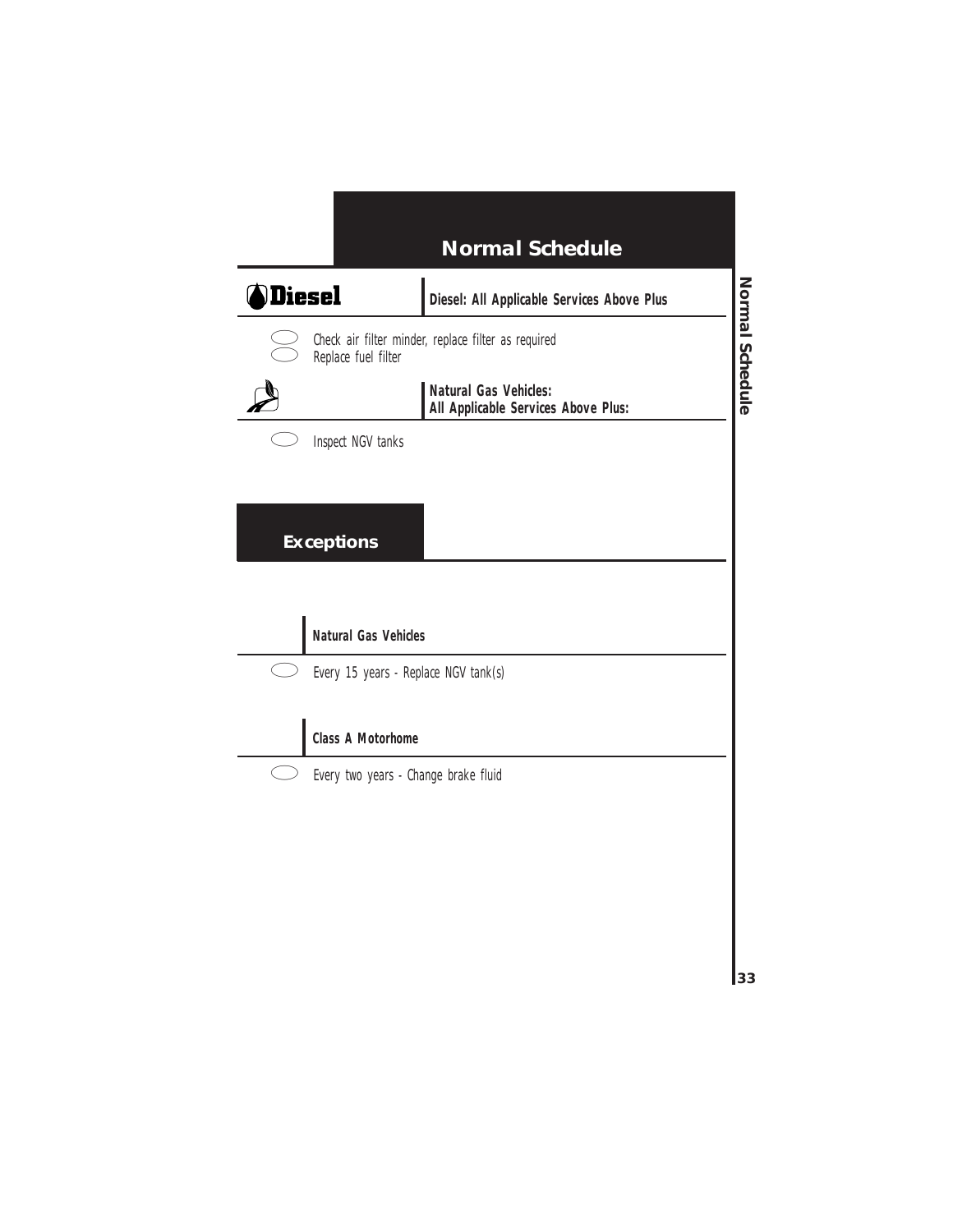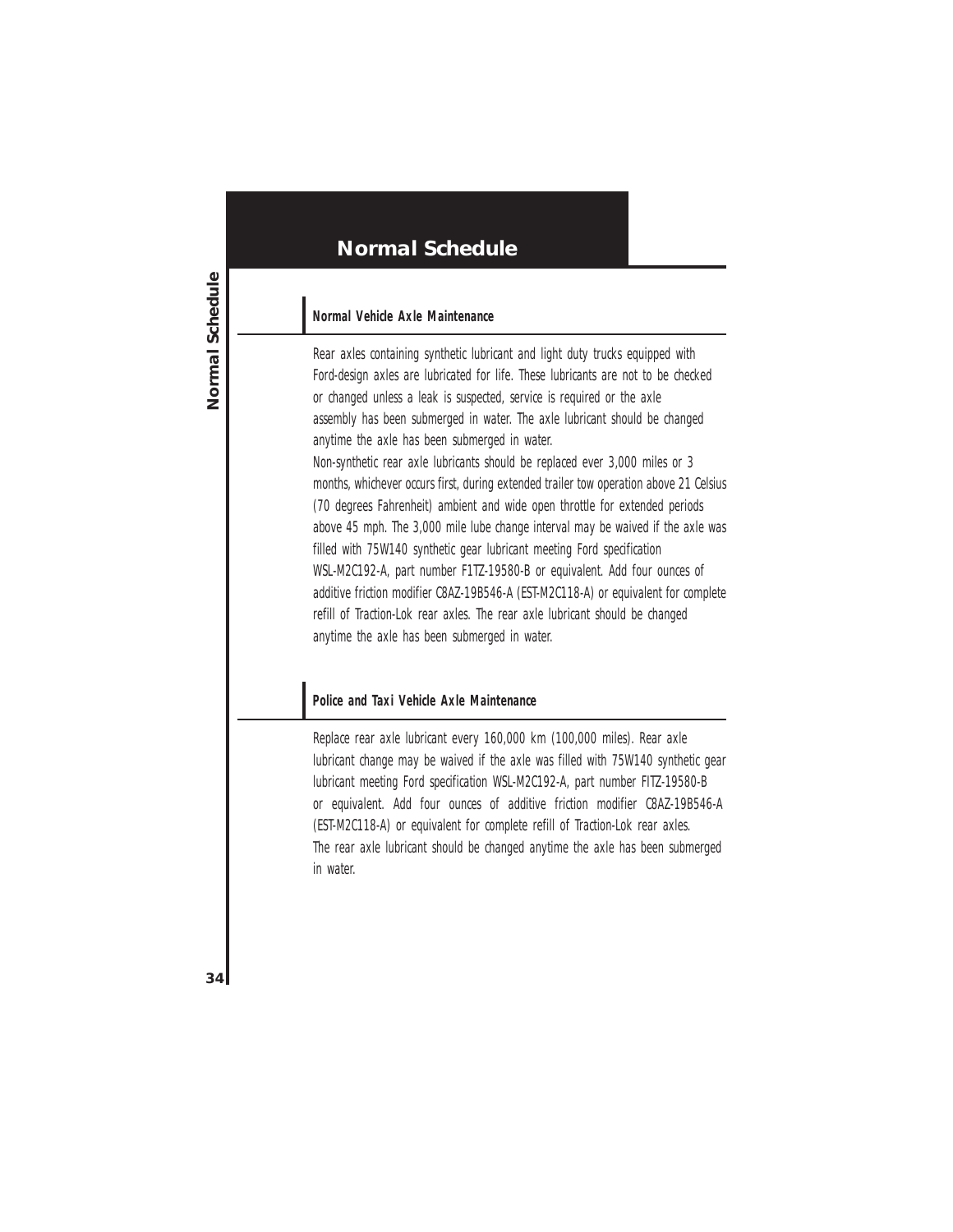#### **Normal Vehicle Axle Maintenance**

Rear axles containing synthetic lubricant and light duty trucks equipped with Ford-design axles are lubricated for life. These lubricants are not to be checked or changed unless a leak is suspected, service is required or the axle assembly has been submerged in water. The axle lubricant should be changed anytime the axle has been submerged in water.

Non-synthetic rear axle lubricants should be replaced ever 3,000 miles or 3 months, whichever occurs first, during extended trailer tow operation above 21 Celsius (70 degrees Fahrenheit) ambient and wide open throttle for extended periods above 45 mph. The 3,000 mile lube change interval may be waived if the axle was filled with 75W140 synthetic gear lubricant meeting Ford specification WSL-M2C192-A, part number F1TZ-19580-B or equivalent. Add four ounces of additive friction modifier C8AZ-19B546-A (EST-M2C118-A) or equivalent for complete refill of Traction-Lok rear axles. The rear axle lubricant should be changed anytime the axle has been submerged in water.

#### **Police and Taxi Vehicle Axle Maintenance**

Replace rear axle lubricant every 160,000 km (100,000 miles). Rear axle lubricant change may be waived if the axle was filled with 75W140 synthetic gear lubricant meeting Ford specification WSL-M2C192-A, part number FITZ-19580-B or equivalent. Add four ounces of additive friction modifier C8AZ-19B546-A (EST-M2C118-A) or equivalent for complete refill of Traction-Lok rear axles. The rear axle lubricant should be changed anytime the axle has been submerged in water.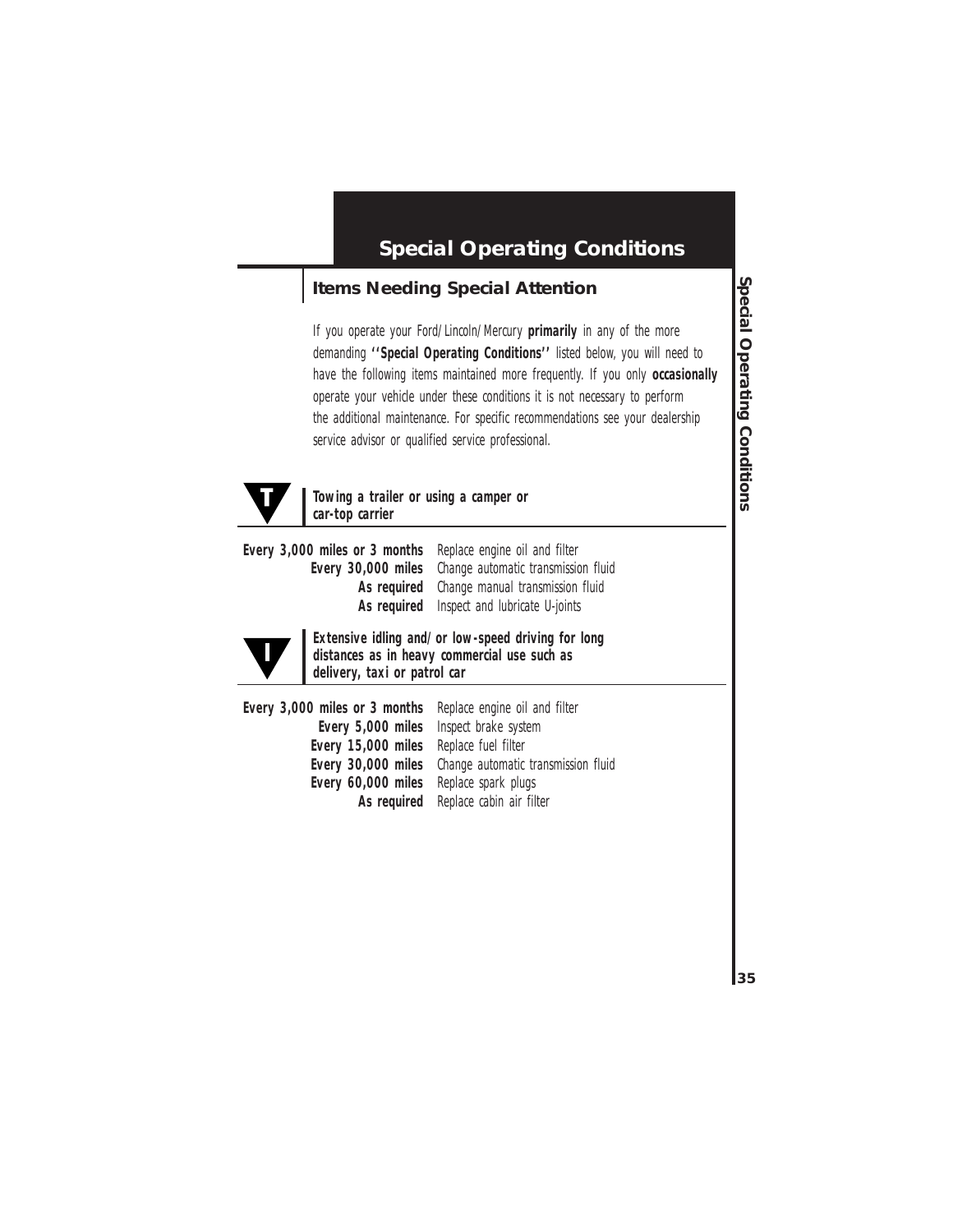## **Special Operating Conditions**

### **Items Needing Special Attention**

If you operate your Ford/Lincoln/Mercury **primarily** in any of the more demanding **''Special Operating Conditions''** listed below, you will need to have the following items maintained more frequently. If you only **occasionally** operate your vehicle under these conditions it is not necessary to perform the additional maintenance. For specific recommendations see your dealership service advisor or qualified service professional.



#### **Towing a trailer or using a camper or car-top carrier**

**Every 3,000 miles or 3 months** Replace engine oil and filter **Every 30,000 miles** Change automatic transmission fluid **As required** Change manual transmission fluid **As required** Inspect and lubricate U-joints



**Extensive idling and/or low-speed driving for long distances as in heavy commercial use such as delivery, taxi or patrol car**

| Every 3,000 miles or 3 months Replace engine oil and filter |                                                               |
|-------------------------------------------------------------|---------------------------------------------------------------|
| Every 5,000 miles Inspect brake system                      |                                                               |
| Every 15,000 miles Replace fuel filter                      |                                                               |
|                                                             | <b>Every 30,000 miles</b> Change automatic transmission fluid |
| Every 60,000 miles Replace spark plugs                      |                                                               |
|                                                             | As required Replace cabin air filter                          |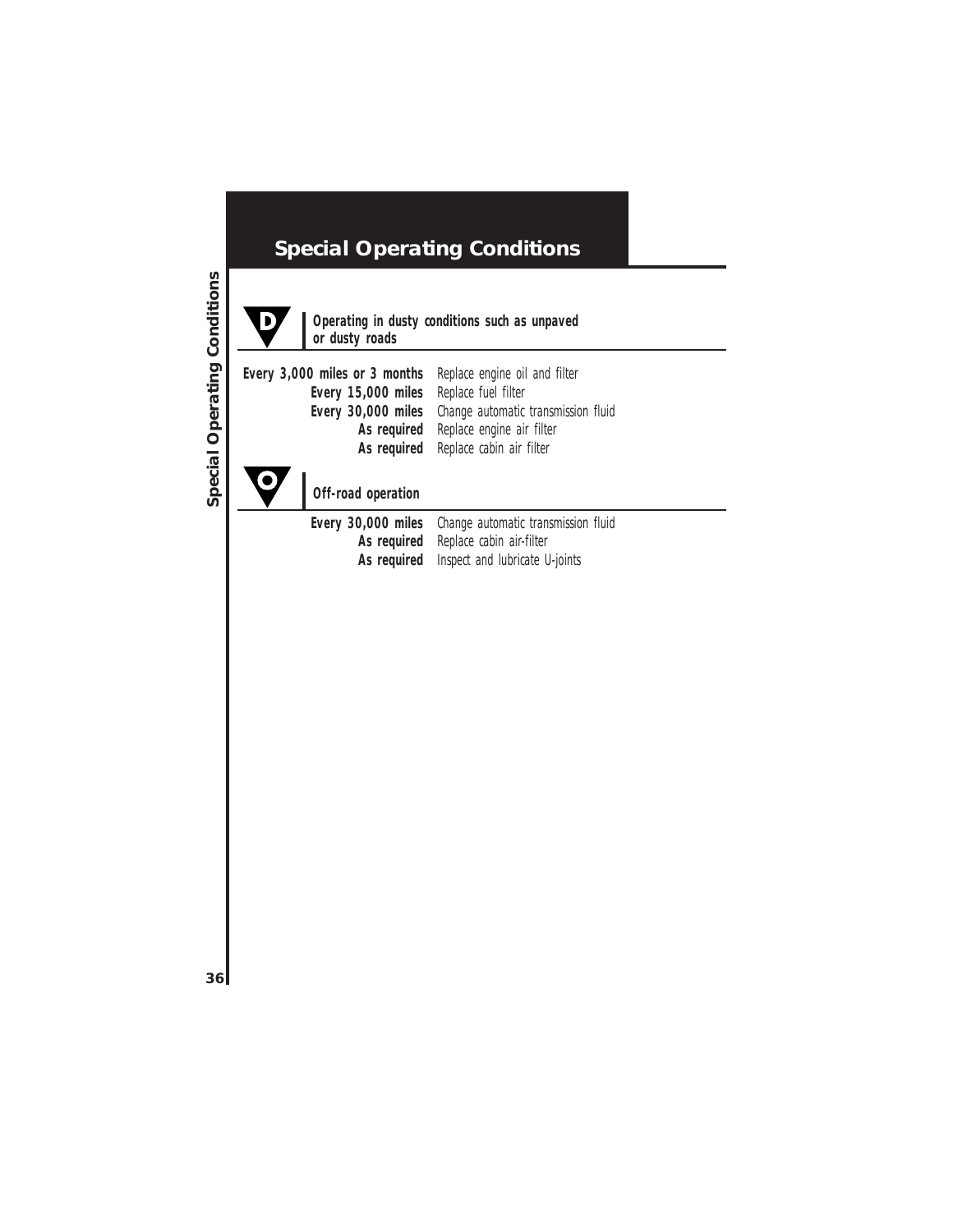# **Special Operating Conditions**



#### **Operating in dusty conditions such as unpaved or dusty roads**

| Every 3,000 miles or 3 months Replace engine oil and filter |
|-------------------------------------------------------------|
| Every 15,000 miles Replace fuel filter                      |
| Every 30,000 miles Change automatic transmission fluid      |
| As required Replace engine air filter                       |
| As required Replace cabin air filter                        |
|                                                             |



**Off-road operation**

| Every 30,000 miles Change automatic transmission fluid |
|--------------------------------------------------------|
| As required Replace cabin air-filter                   |
| As required Inspect and lubricate U-joints             |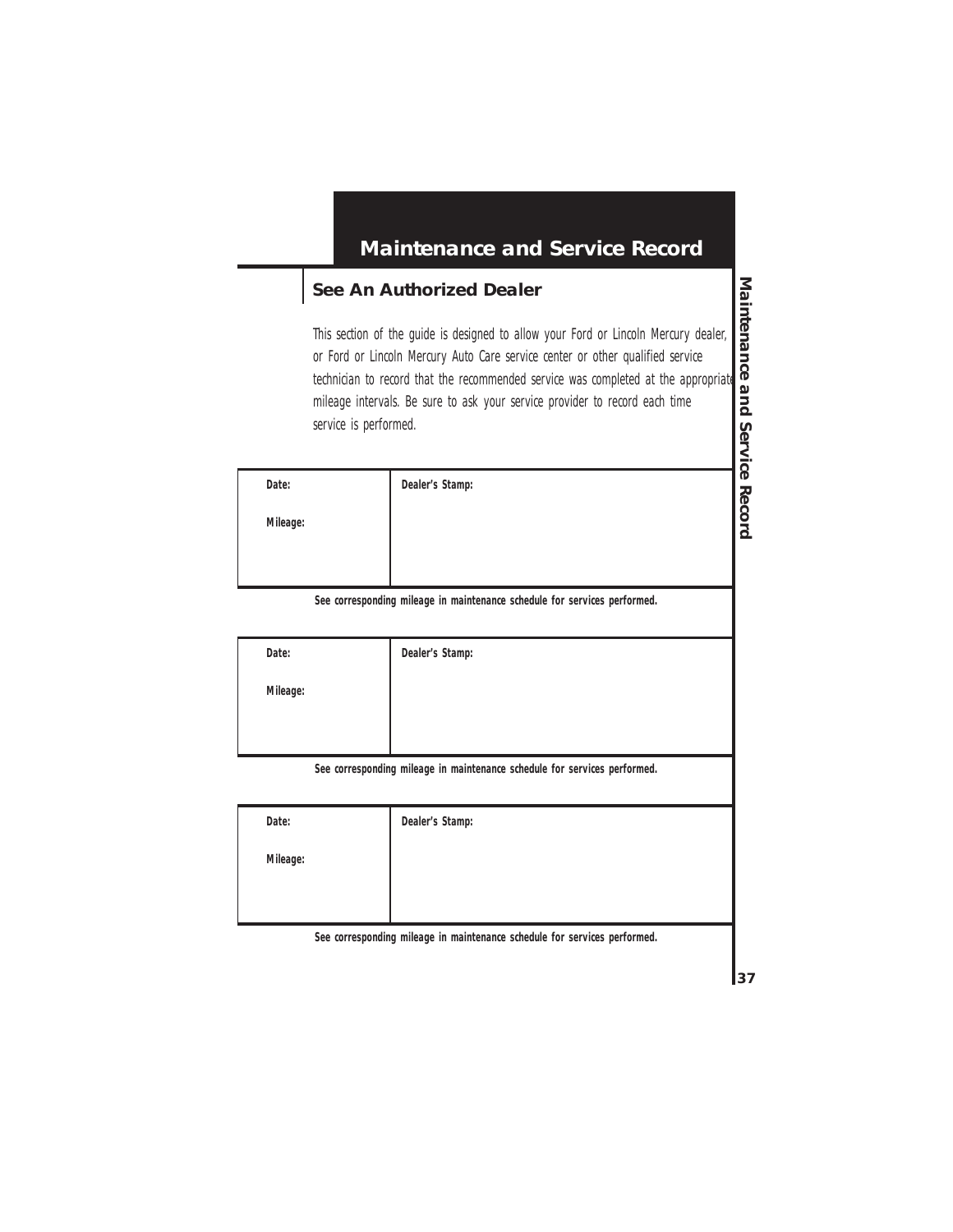#### **See An Authorized Dealer**

This section of the guide is designed to allow your Ford or Lincoln Mercury dealer, or Ford or Lincoln Mercury Auto Care service center or other qualified service technician to record that the recommended service was completed at the appropriate mileage intervals. Be sure to ask your service provider to record each time service is performed.

| Date:    | Dealer's Stamp: |
|----------|-----------------|
| Mileage: |                 |
|          |                 |
|          |                 |

**See corresponding mileage in maintenance schedule for services performed.**

| Date:    | Dealer's Stamp: |
|----------|-----------------|
| Mileage: |                 |
|          |                 |
|          |                 |

**See corresponding mileage in maintenance schedule for services performed.**

| Date:    | Dealer's Stamp: |
|----------|-----------------|
| Mileage: |                 |
|          |                 |
|          |                 |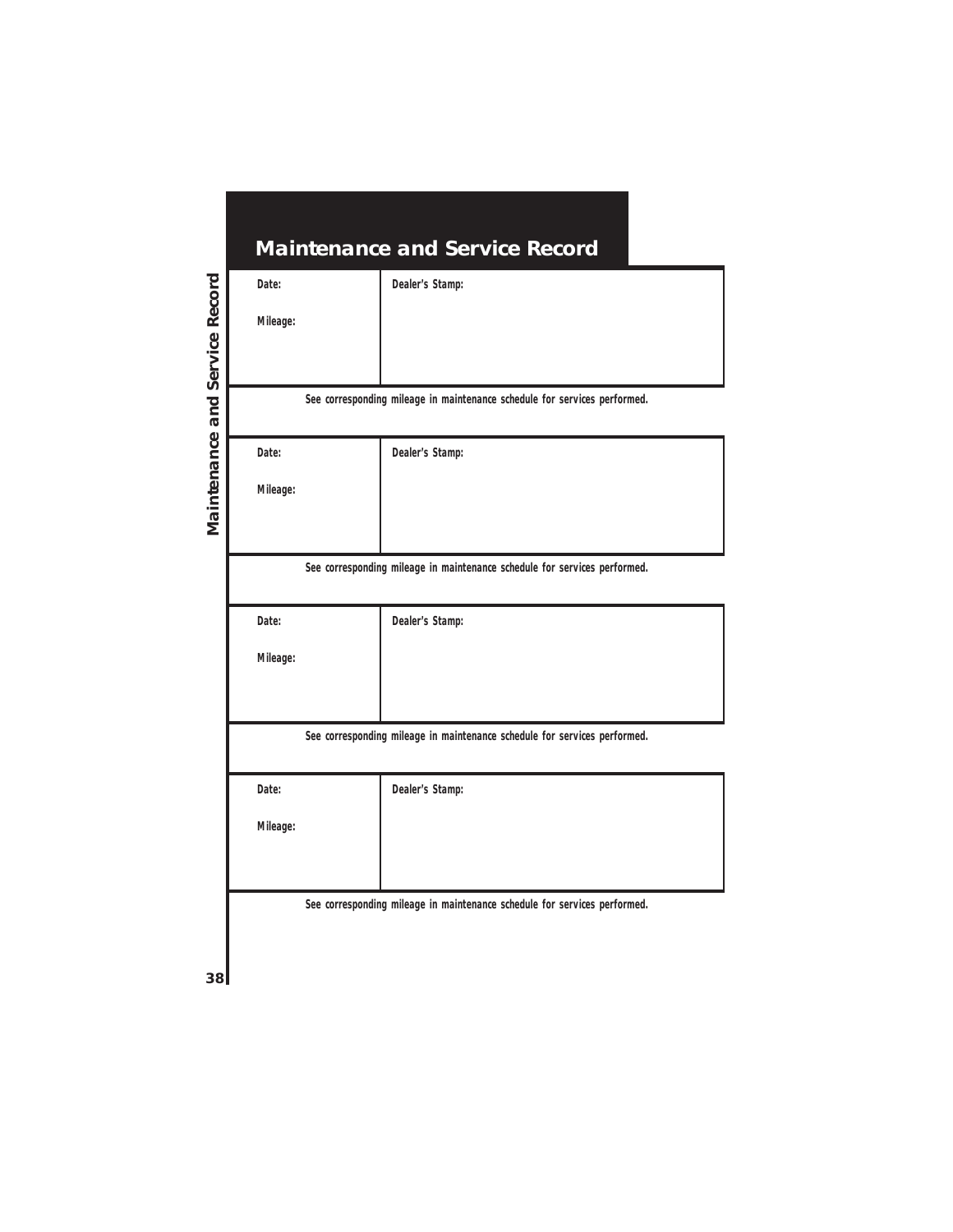|          | <b>Maintenance and Service Record</b>                                     |
|----------|---------------------------------------------------------------------------|
| Date:    | Dealer's Stamp:                                                           |
| Mileage: |                                                                           |
|          |                                                                           |
|          |                                                                           |
|          | See corresponding mileage in maintenance schedule for services performed. |
| Date:    | Dealer's Stamp:                                                           |
| Mileage: |                                                                           |
|          |                                                                           |
|          |                                                                           |
|          | See corresponding mileage in maintenance schedule for services performed. |
| Date:    | Dealer's Stamp:                                                           |
| Mileage: |                                                                           |
|          |                                                                           |
|          |                                                                           |
|          | See corresponding mileage in maintenance schedule for services performed. |
| Date:    | Dealer's Stamp:                                                           |
| Mileage: |                                                                           |
|          |                                                                           |
|          |                                                                           |
|          | See corresponding mileage in maintenance schedule for services performed. |
|          |                                                                           |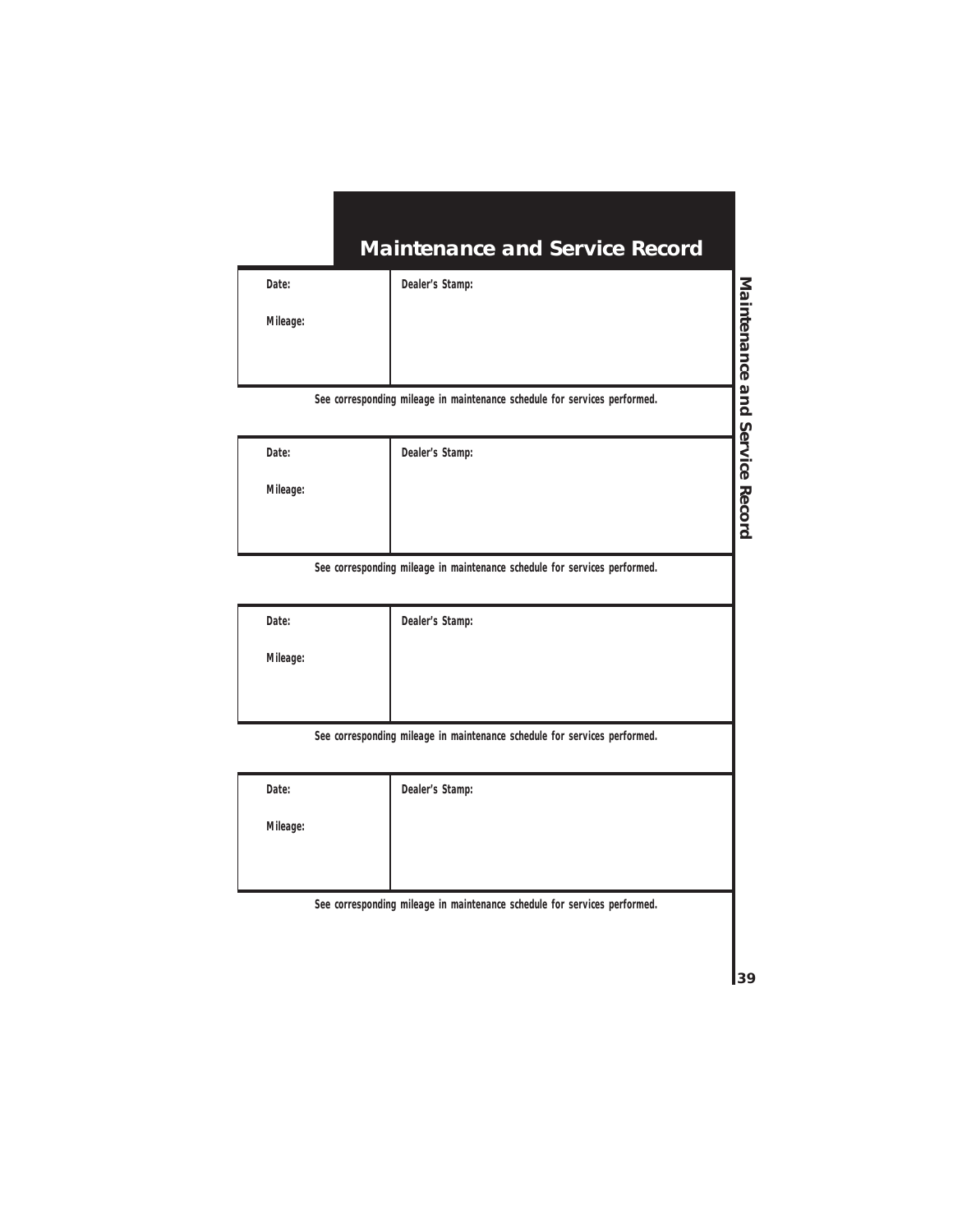**Dealer's Stamp:**

**Mileage:**

**See corresponding mileage in maintenance schedule for services performed.**

| Date:    | Dealer's Stamp: |  |
|----------|-----------------|--|
| Mileage: |                 |  |
|          |                 |  |

**See corresponding mileage in maintenance schedule for services performed.**

| Date:    | Dealer's Stamp: |
|----------|-----------------|
| Mileage: |                 |
|          |                 |

**See corresponding mileage in maintenance schedule for services performed.**

| Date:    | Dealer's Stamp: |
|----------|-----------------|
| Mileage: |                 |
|          |                 |
|          |                 |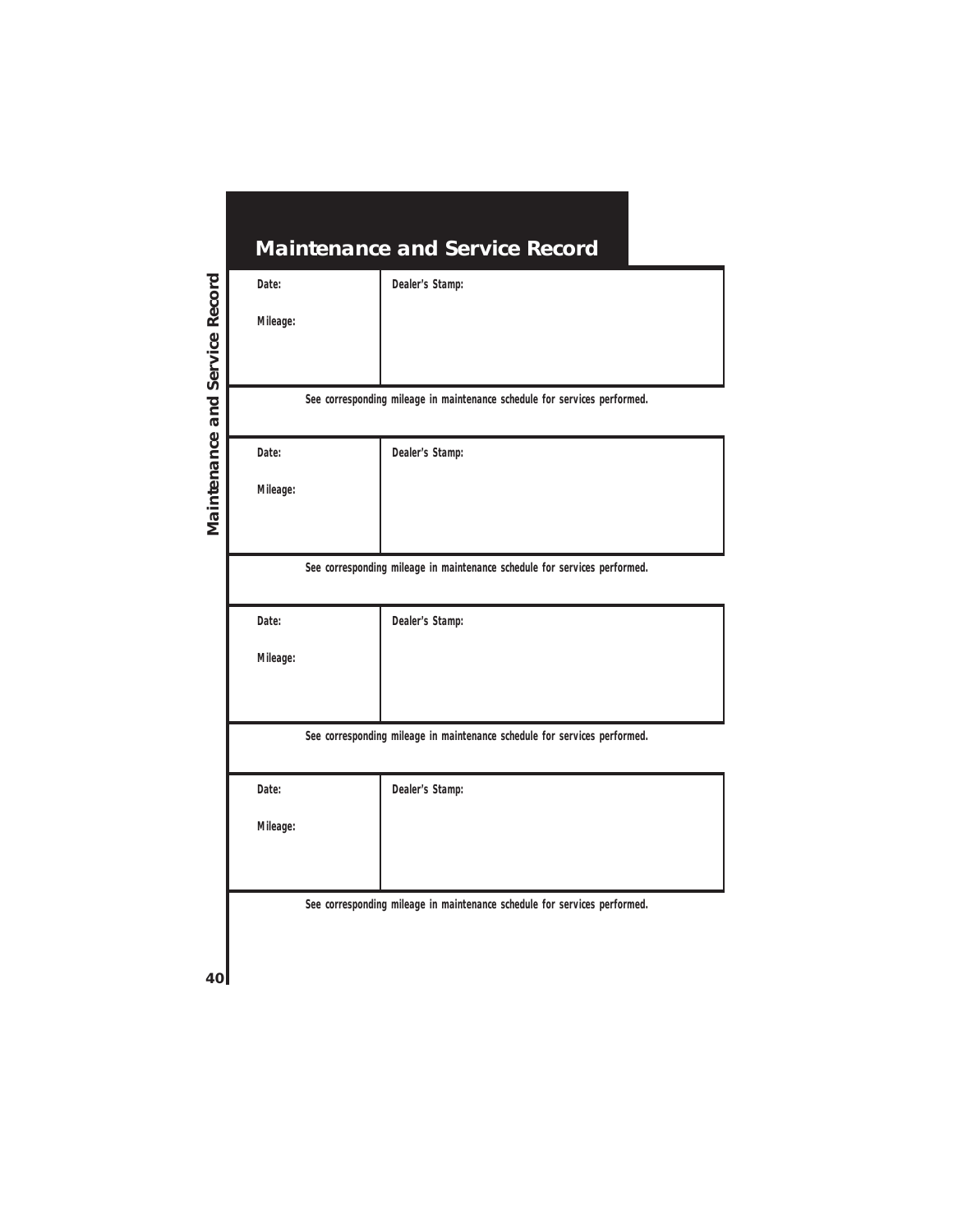| <b>Maintenance and Service Record</b> |                                                                           |
|---------------------------------------|---------------------------------------------------------------------------|
| Date:                                 | Dealer's Stamp:                                                           |
| Mileage:                              |                                                                           |
|                                       |                                                                           |
|                                       |                                                                           |
|                                       | See corresponding mileage in maintenance schedule for services performed. |
| Date:                                 | Dealer's Stamp:                                                           |
| Mileage:                              |                                                                           |
|                                       |                                                                           |
|                                       |                                                                           |
|                                       | See corresponding mileage in maintenance schedule for services performed. |
| Date:                                 | Dealer's Stamp:                                                           |
| Mileage:                              |                                                                           |
|                                       |                                                                           |
|                                       |                                                                           |
|                                       | See corresponding mileage in maintenance schedule for services performed. |
| Date:                                 | Dealer's Stamp:                                                           |
| Mileage:                              |                                                                           |
|                                       |                                                                           |
|                                       |                                                                           |
|                                       | See corresponding mileage in maintenance schedule for services performed. |
|                                       |                                                                           |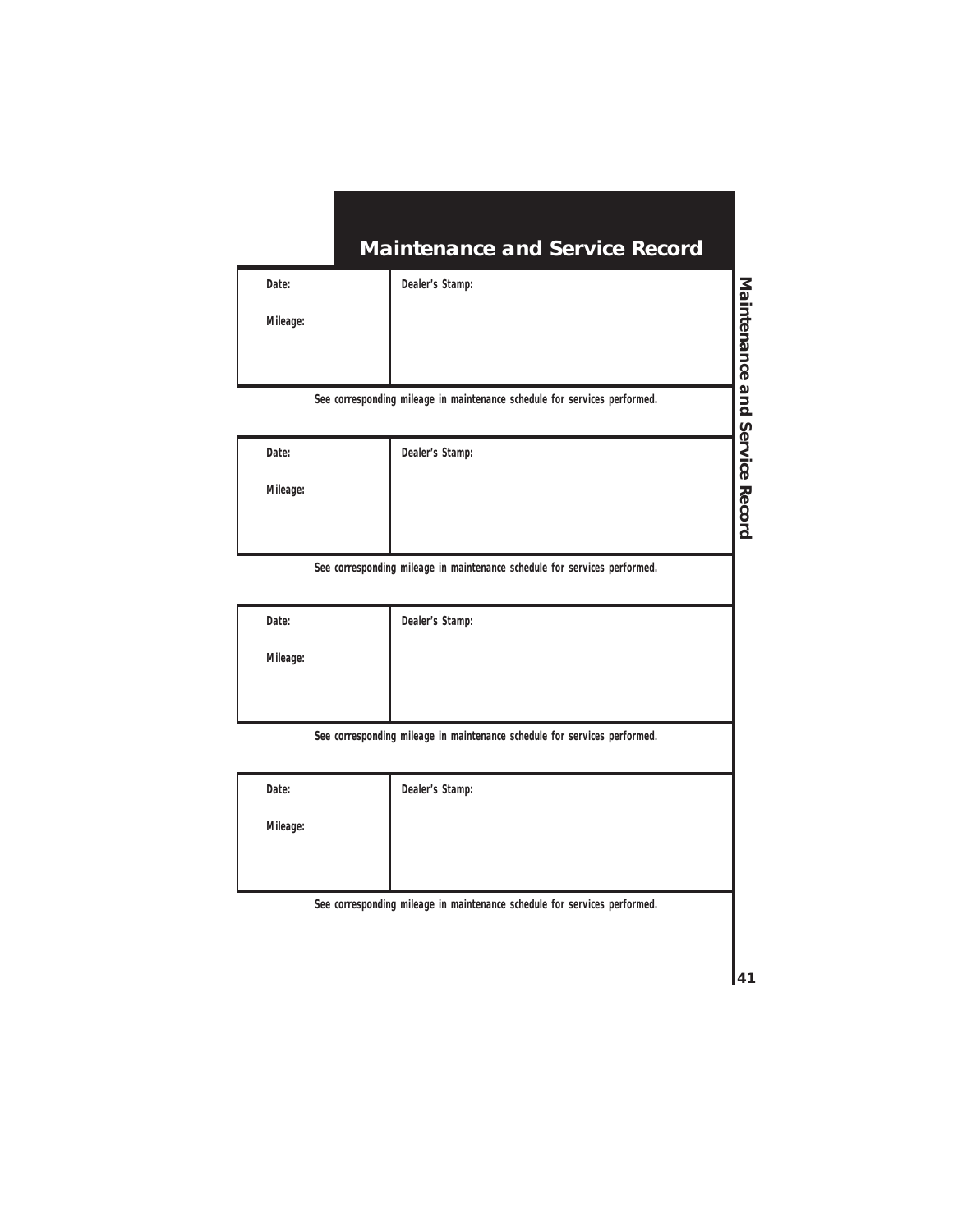**Dealer's Stamp:**

**Mileage:**

**See corresponding mileage in maintenance schedule for services performed.**

| Date:    | Dealer's Stamp: |
|----------|-----------------|
| Mileage: |                 |
|          |                 |

**See corresponding mileage in maintenance schedule for services performed.**

| Date:    | Dealer's Stamp: |
|----------|-----------------|
| Mileage: |                 |
|          |                 |

**See corresponding mileage in maintenance schedule for services performed.**

| Date:    | Dealer's Stamp: |
|----------|-----------------|
| Mileage: |                 |
|          |                 |
|          |                 |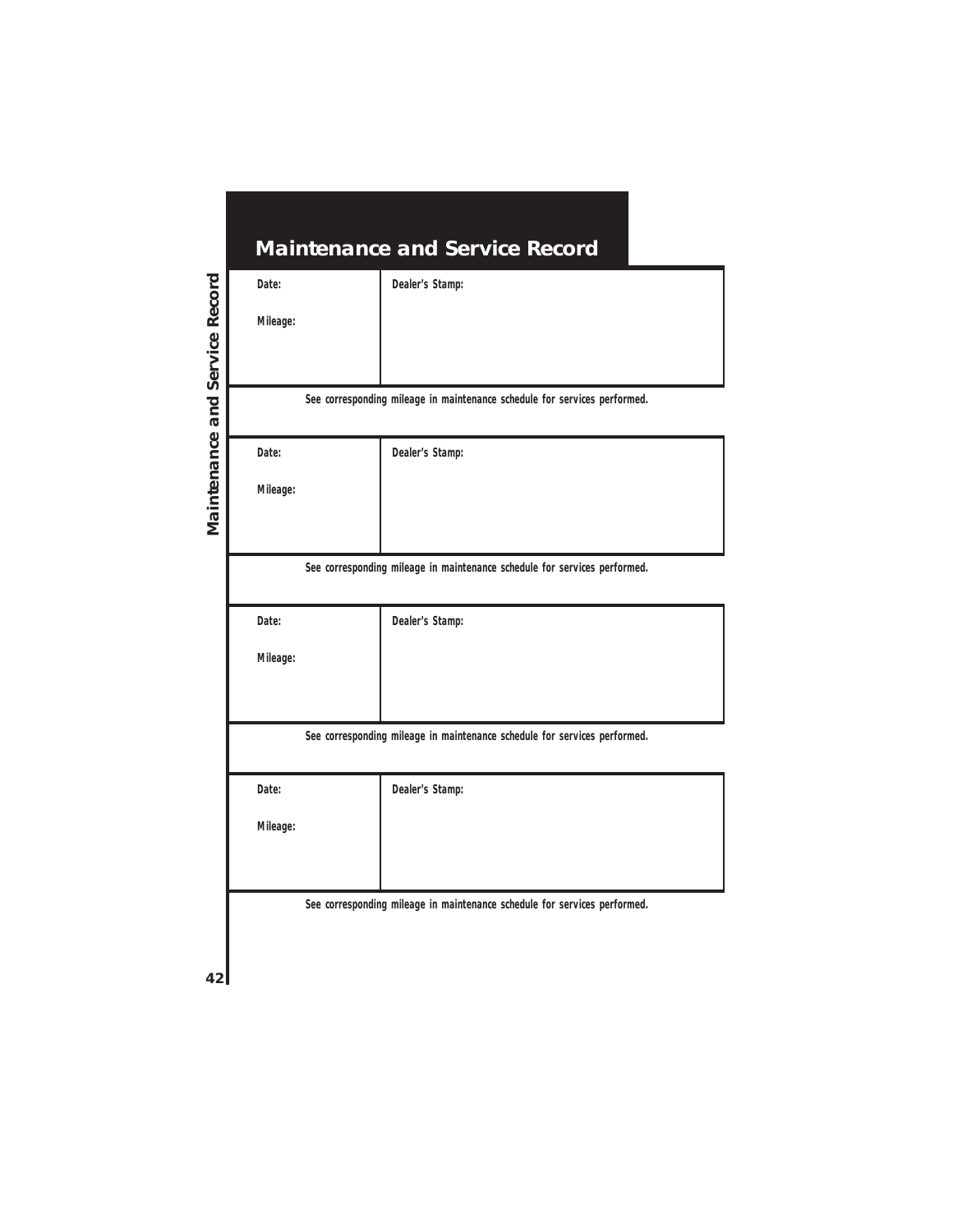| <b>Maintenance and Service Record</b> |                                                                           |
|---------------------------------------|---------------------------------------------------------------------------|
| Date:                                 | Dealer's Stamp:                                                           |
| Mileage:                              |                                                                           |
|                                       |                                                                           |
|                                       |                                                                           |
|                                       | See corresponding mileage in maintenance schedule for services performed. |
| Date:                                 | Dealer's Stamp:                                                           |
| Mileage:                              |                                                                           |
|                                       |                                                                           |
|                                       |                                                                           |
|                                       | See corresponding mileage in maintenance schedule for services performed. |
| Date:                                 | Dealer's Stamp:                                                           |
| Mileage:                              |                                                                           |
|                                       |                                                                           |
|                                       |                                                                           |
|                                       | See corresponding mileage in maintenance schedule for services performed. |
| Date:                                 | Dealer's Stamp:                                                           |
| Mileage:                              |                                                                           |
|                                       |                                                                           |
|                                       |                                                                           |
|                                       | See corresponding mileage in maintenance schedule for services performed. |
|                                       |                                                                           |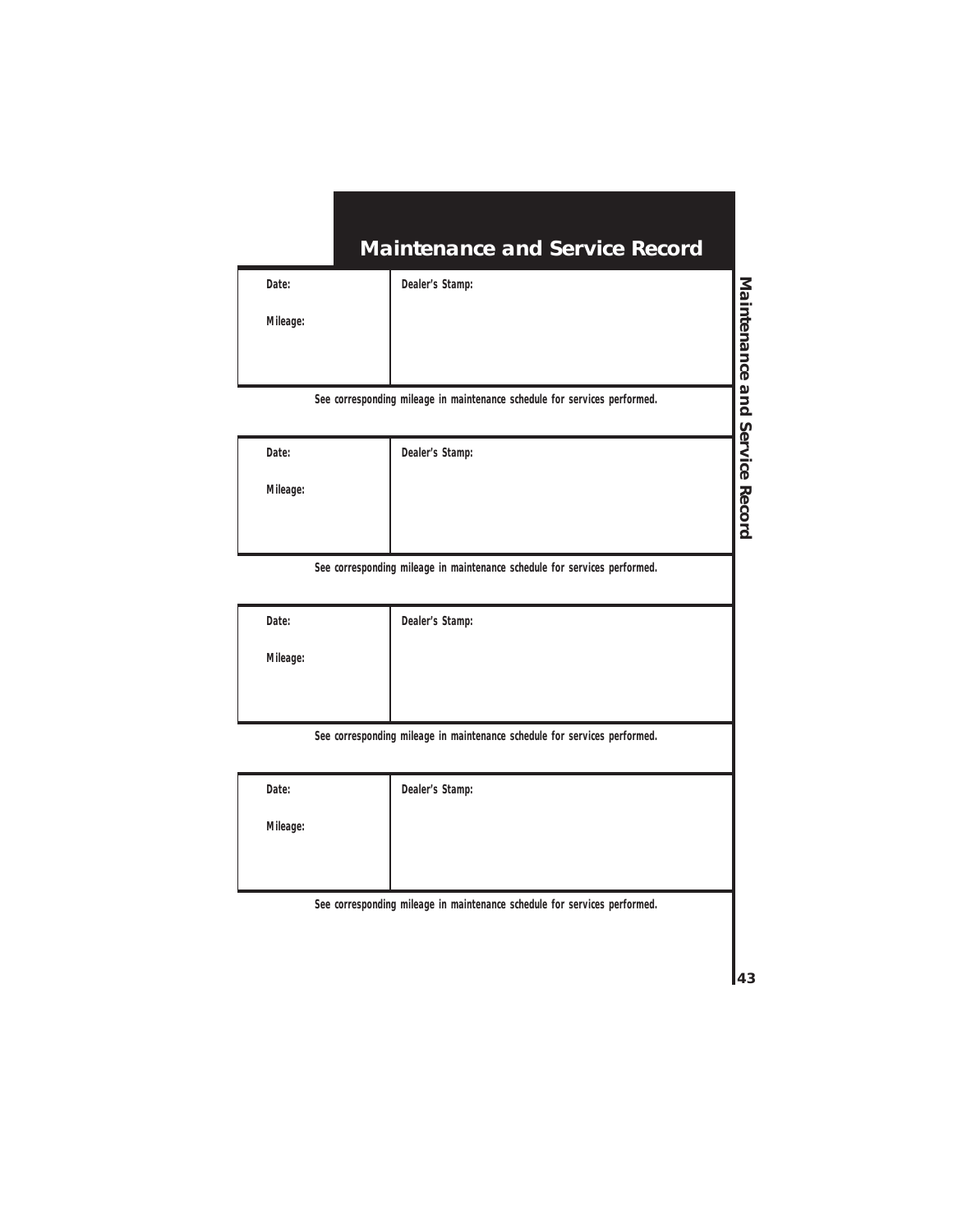**Dealer's Stamp:**

**Mileage:**

**See corresponding mileage in maintenance schedule for services performed.**

| Date:    | Dealer's Stamp: |
|----------|-----------------|
| Mileage: |                 |
|          |                 |

**See corresponding mileage in maintenance schedule for services performed.**

| Date:    | Dealer's Stamp: |
|----------|-----------------|
| Mileage: |                 |
|          |                 |

**See corresponding mileage in maintenance schedule for services performed.**

| Date:    | Dealer's Stamp: |
|----------|-----------------|
| Mileage: |                 |
|          |                 |
|          |                 |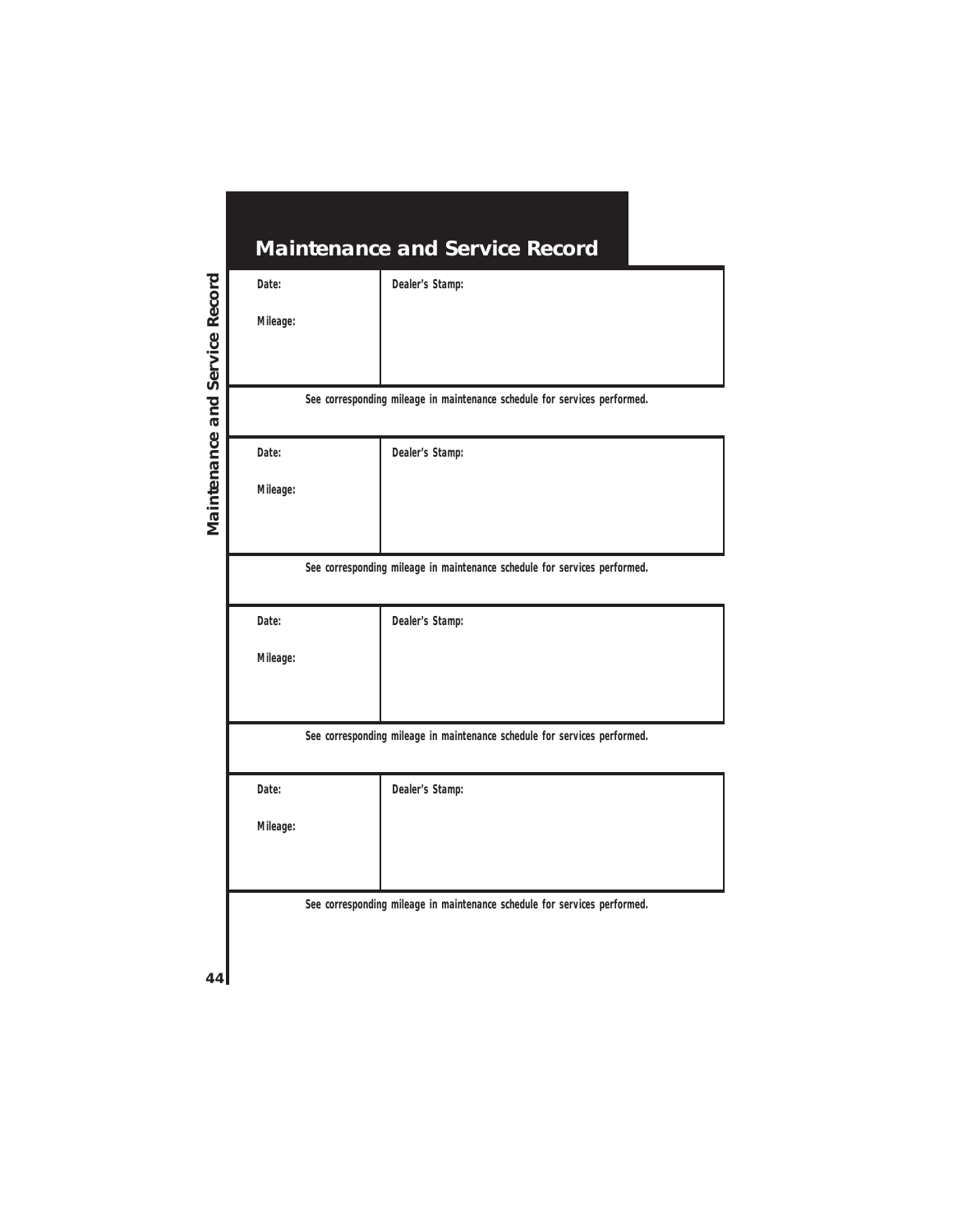| <b>Maintenance and Service Record</b>                                     |                                                                           |  |
|---------------------------------------------------------------------------|---------------------------------------------------------------------------|--|
| Date:                                                                     | Dealer's Stamp:                                                           |  |
| Mileage:                                                                  |                                                                           |  |
|                                                                           |                                                                           |  |
|                                                                           |                                                                           |  |
|                                                                           | See corresponding mileage in maintenance schedule for services performed. |  |
| Date:                                                                     | Dealer's Stamp:                                                           |  |
| Mileage:                                                                  |                                                                           |  |
|                                                                           |                                                                           |  |
|                                                                           |                                                                           |  |
| See corresponding mileage in maintenance schedule for services performed. |                                                                           |  |
| Date:                                                                     | Dealer's Stamp:                                                           |  |
| Mileage:                                                                  |                                                                           |  |
|                                                                           |                                                                           |  |
|                                                                           |                                                                           |  |
| See corresponding mileage in maintenance schedule for services performed. |                                                                           |  |
| Date:                                                                     | Dealer's Stamp:                                                           |  |
| Mileage:                                                                  |                                                                           |  |
|                                                                           |                                                                           |  |
|                                                                           |                                                                           |  |
| See corresponding mileage in maintenance schedule for services performed. |                                                                           |  |
|                                                                           |                                                                           |  |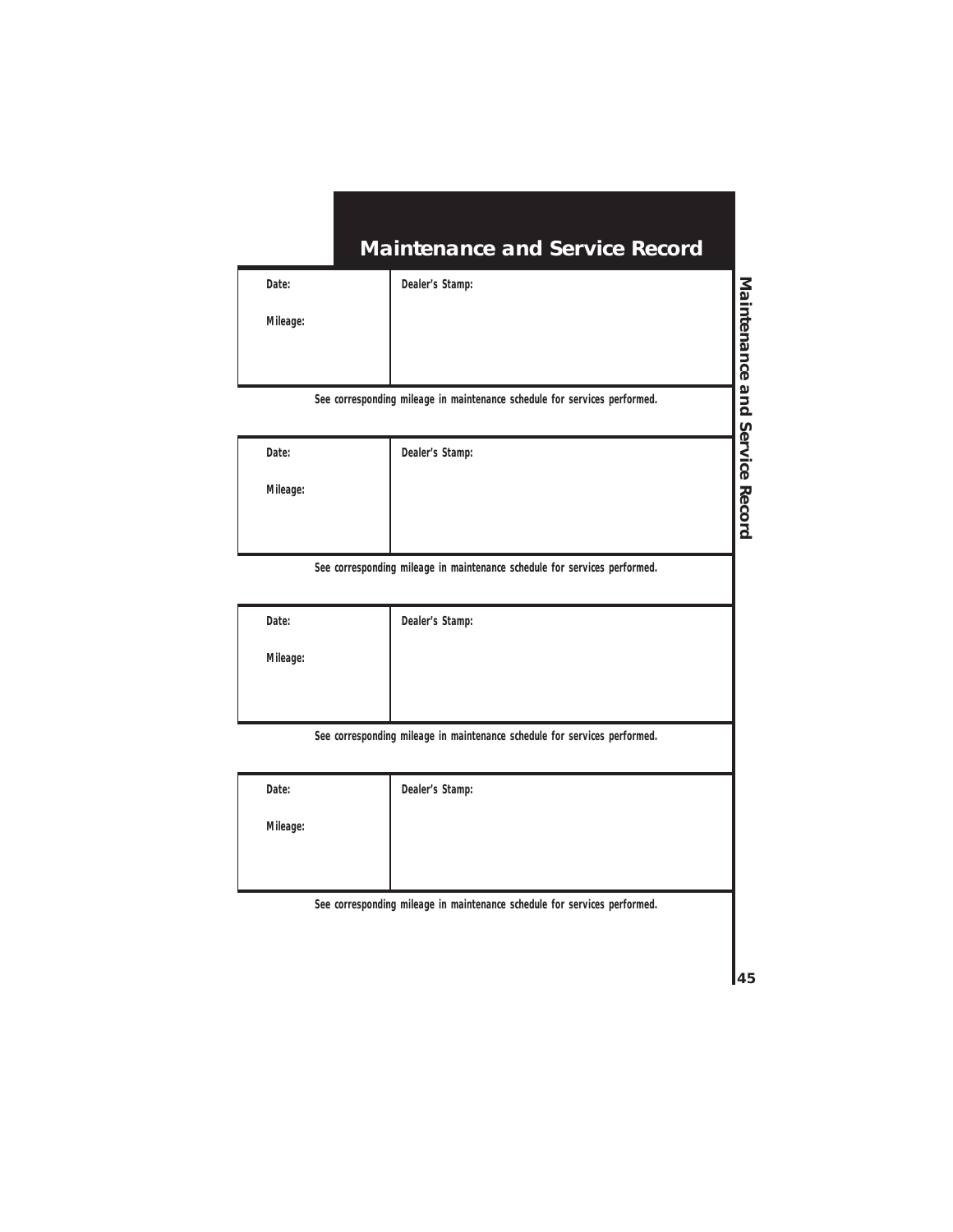**Dealer's Stamp:**

**Mileage:**

**See corresponding mileage in maintenance schedule for services performed.**

| Date:    | Dealer's Stamp: |
|----------|-----------------|
| Mileage: |                 |
|          |                 |

**See corresponding mileage in maintenance schedule for services performed.**

| Date:    | Dealer's Stamp: |
|----------|-----------------|
| Mileage: |                 |
|          |                 |

**See corresponding mileage in maintenance schedule for services performed.**

| Date:    | Dealer's Stamp: |
|----------|-----------------|
| Mileage: |                 |
|          |                 |
|          |                 |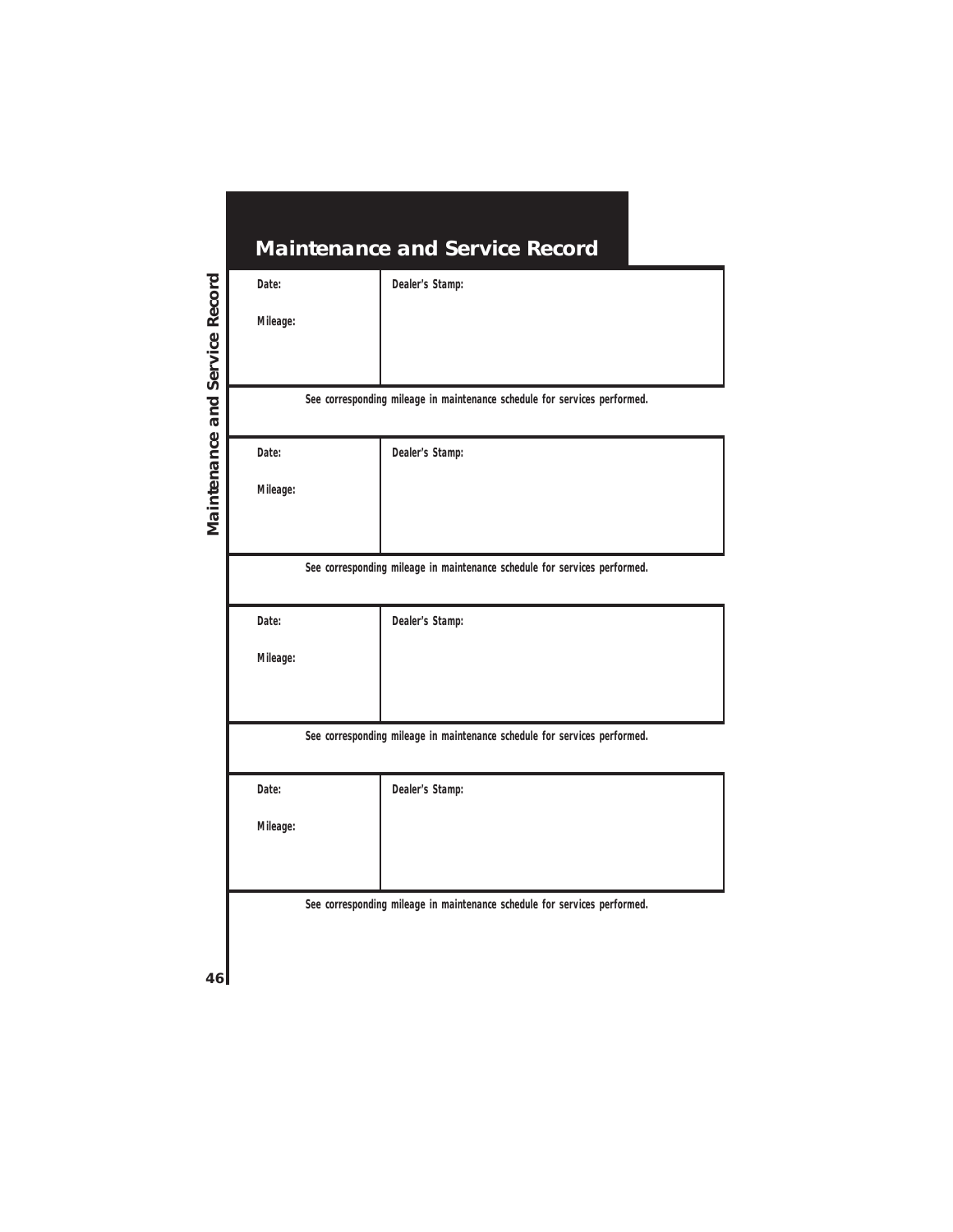| <b>Maintenance and Service Record</b>                                     |                                                                           |  |
|---------------------------------------------------------------------------|---------------------------------------------------------------------------|--|
| Date:                                                                     | Dealer's Stamp:                                                           |  |
| Mileage:                                                                  |                                                                           |  |
|                                                                           |                                                                           |  |
|                                                                           |                                                                           |  |
|                                                                           | See corresponding mileage in maintenance schedule for services performed. |  |
| Date:                                                                     | Dealer's Stamp:                                                           |  |
| Mileage:                                                                  |                                                                           |  |
|                                                                           |                                                                           |  |
|                                                                           |                                                                           |  |
|                                                                           | See corresponding mileage in maintenance schedule for services performed. |  |
| Date:                                                                     | Dealer's Stamp:                                                           |  |
| Mileage:                                                                  |                                                                           |  |
|                                                                           |                                                                           |  |
|                                                                           |                                                                           |  |
| See corresponding mileage in maintenance schedule for services performed. |                                                                           |  |
| Date:                                                                     | Dealer's Stamp:                                                           |  |
| Mileage:                                                                  |                                                                           |  |
|                                                                           |                                                                           |  |
|                                                                           |                                                                           |  |
| See corresponding mileage in maintenance schedule for services performed. |                                                                           |  |
|                                                                           |                                                                           |  |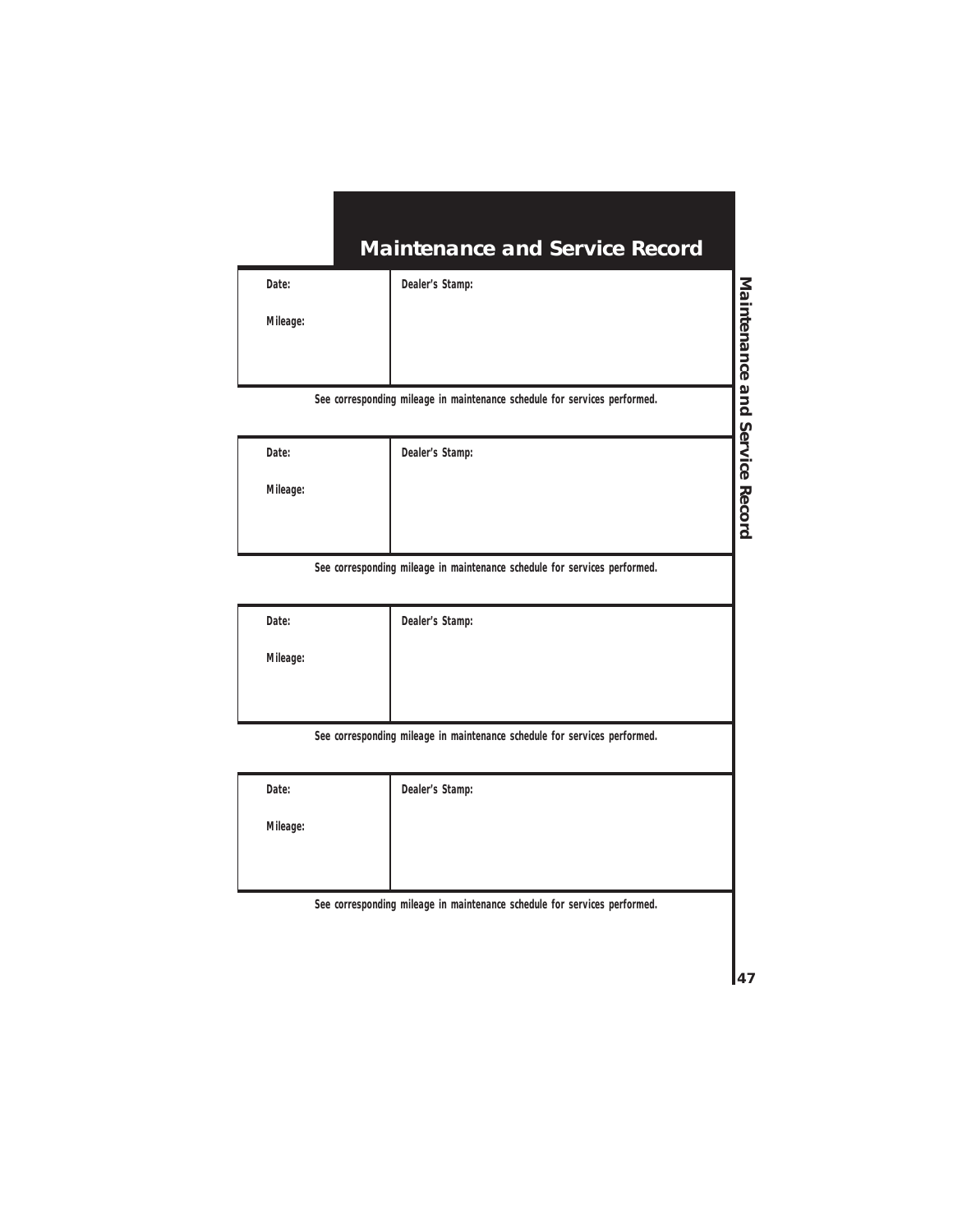**Dealer's Stamp:**

**Mileage:**

**See corresponding mileage in maintenance schedule for services performed.**

| Date:    | Dealer's Stamp: |
|----------|-----------------|
| Mileage: |                 |
|          |                 |

**See corresponding mileage in maintenance schedule for services performed.**

| Date:    | Dealer's Stamp: |
|----------|-----------------|
| Mileage: |                 |
|          |                 |

**See corresponding mileage in maintenance schedule for services performed.**

| Date:    | Dealer's Stamp: |
|----------|-----------------|
| Mileage: |                 |
|          |                 |
|          |                 |